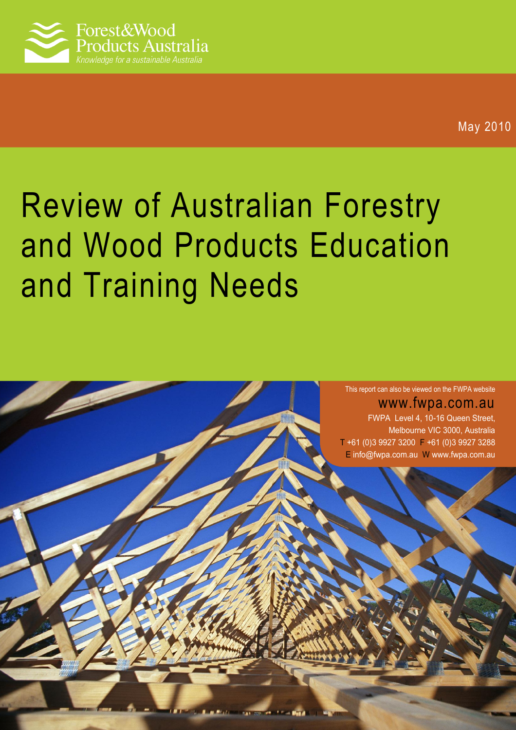

# Review of Australian Forestry and Wood Products Education and Training Needs



www.fwpa.com.au FWPA Level 4, 10-16 Queen Street, Melbourne VIC 3000, Australia T +61 (0)3 9927 3200 F +61 (0)3 9927 3288 E [info@fwpa.com.au](mailto:info@fwpa.com.auW) W www.fwpa.com.au

11241.000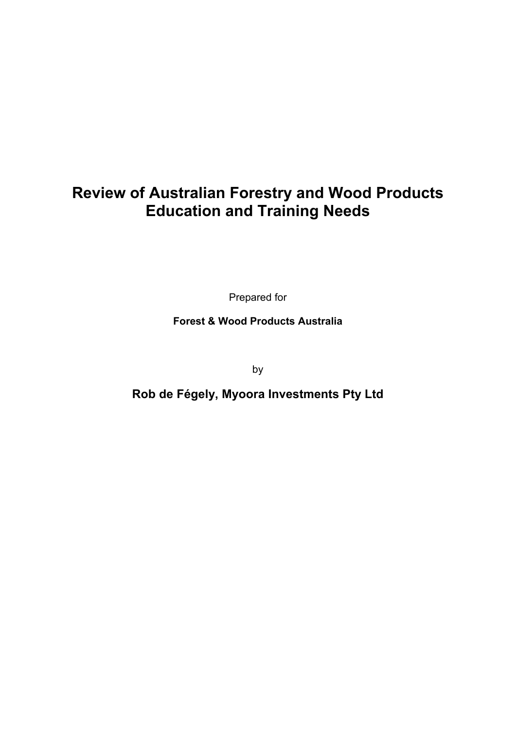# **Review of Australian Forestry and Wood Products Education and Training Needs**

Prepared for

**Forest & Wood Products Australia** 

by

**Rob de Fégely, Myoora Investments Pty Ltd**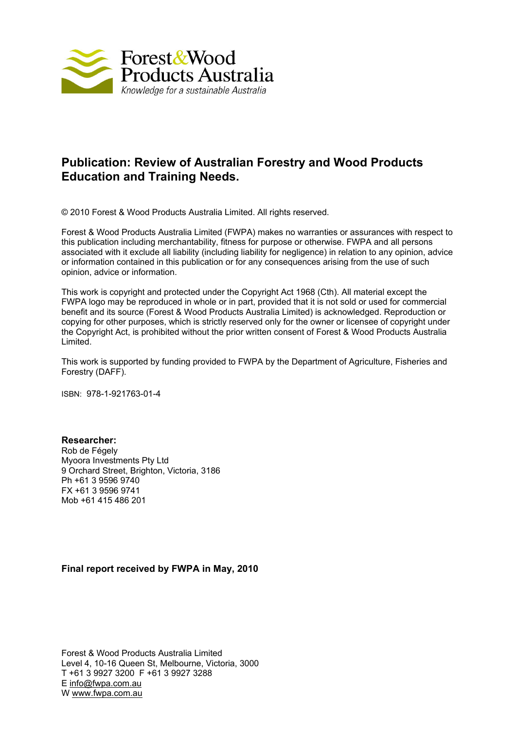

## **Publication: Review of Australian Forestry and Wood Products Education and Training Needs.**

© 2010 Forest & Wood Products Australia Limited. All rights reserved.

Forest & Wood Products Australia Limited (FWPA) makes no warranties or assurances with respect to this publication including merchantability, fitness for purpose or otherwise. FWPA and all persons associated with it exclude all liability (including liability for negligence) in relation to any opinion, advice or information contained in this publication or for any consequences arising from the use of such opinion, advice or information.

This work is copyright and protected under the Copyright Act 1968 (Cth). All material except the FWPA logo may be reproduced in whole or in part, provided that it is not sold or used for commercial benefit and its source (Forest & Wood Products Australia Limited) is acknowledged. Reproduction or copying for other purposes, which is strictly reserved only for the owner or licensee of copyright under the Copyright Act, is prohibited without the prior written consent of Forest & Wood Products Australia Limited.

This work is supported by funding provided to FWPA by the Department of Agriculture, Fisheries and Forestry (DAFF).

ISBN: 978-1-921763-01-4

**Researcher:**  Rob de Fégely Myoora Investments Pty Ltd 9 Orchard Street, Brighton, Victoria, 3186 Ph +61 3 9596 9740 FX +61 3 9596 9741 Mob +61 415 486 201

#### **Final report received by FWPA in May, 2010**

Forest & Wood Products Australia Limited Level 4, 10-16 Queen St, Melbourne, Victoria, 3000 T +61 3 9927 3200 F +61 3 9927 3288 E info@fwpa.com.au W www.fwpa.com.au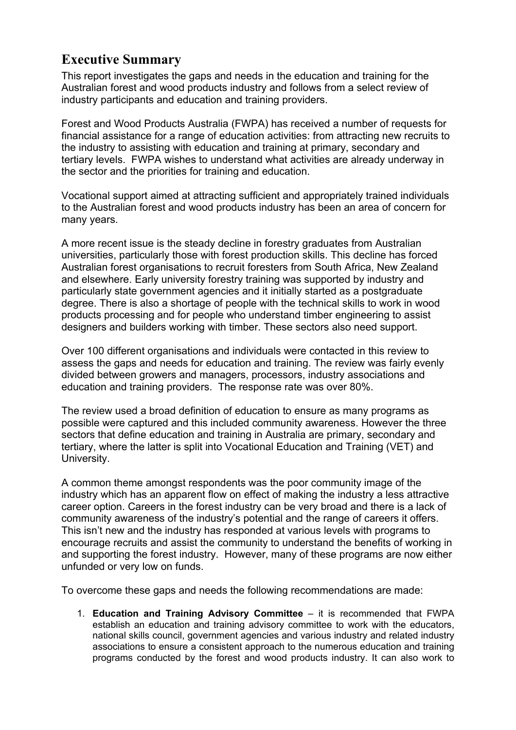# <span id="page-3-0"></span>**Executive Summary**

This report investigates the gaps and needs in the education and training for the Australian forest and wood products industry and follows from a select review of industry participants and education and training providers.

Forest and Wood Products Australia (FWPA) has received a number of requests for financial assistance for a range of education activities: from attracting new recruits to the industry to assisting with education and training at primary, secondary and tertiary levels. FWPA wishes to understand what activities are already underway in the sector and the priorities for training and education.

Vocational support aimed at attracting sufficient and appropriately trained individuals to the Australian forest and wood products industry has been an area of concern for many years.

A more recent issue is the steady decline in forestry graduates from Australian universities, particularly those with forest production skills. This decline has forced Australian forest organisations to recruit foresters from South Africa, New Zealand and elsewhere. Early university forestry training was supported by industry and particularly state government agencies and it initially started as a postgraduate degree. There is also a shortage of people with the technical skills to work in wood products processing and for people who understand timber engineering to assist designers and builders working with timber. These sectors also need support.

Over 100 different organisations and individuals were contacted in this review to assess the gaps and needs for education and training. The review was fairly evenly divided between growers and managers, processors, industry associations and education and training providers. The response rate was over 80%.

The review used a broad definition of education to ensure as many programs as possible were captured and this included community awareness. However the three sectors that define education and training in Australia are primary, secondary and tertiary, where the latter is split into Vocational Education and Training (VET) and University.

A common theme amongst respondents was the poor community image of the industry which has an apparent flow on effect of making the industry a less attractive career option. Careers in the forest industry can be very broad and there is a lack of community awareness of the industry's potential and the range of careers it offers. This isn't new and the industry has responded at various levels with programs to encourage recruits and assist the community to understand the benefits of working in and supporting the forest industry. However, many of these programs are now either unfunded or very low on funds.

To overcome these gaps and needs the following recommendations are made:

1. **Education and Training Advisory Committee** – it is recommended that FWPA establish an education and training advisory committee to work with the educators, national skills council, government agencies and various industry and related industry associations to ensure a consistent approach to the numerous education and training programs conducted by the forest and wood products industry. It can also work to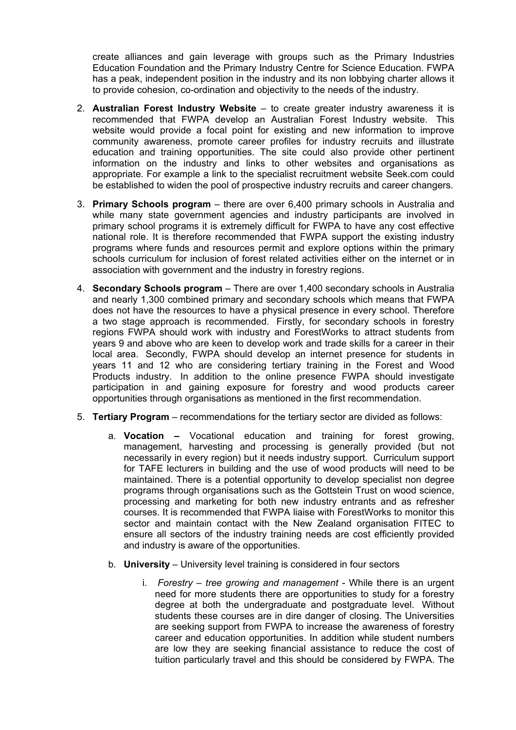create alliances and gain leverage with groups such as the Primary Industries Education Foundation and the Primary Industry Centre for Science Education. FWPA has a peak, independent position in the industry and its non lobbying charter allows it to provide cohesion, co-ordination and objectivity to the needs of the industry.

- 2. **Australian Forest Industry Website** to create greater industry awareness it is recommended that FWPA develop an Australian Forest Industry website. This website would provide a focal point for existing and new information to improve community awareness, promote career profiles for industry recruits and illustrate education and training opportunities. The site could also provide other pertinent information on the industry and links to other websites and organisations as appropriate. For example a link to the specialist recruitment website Seek.com could be established to widen the pool of prospective industry recruits and career changers.
- 3. **Primary Schools program** there are over 6,400 primary schools in Australia and while many state government agencies and industry participants are involved in primary school programs it is extremely difficult for FWPA to have any cost effective national role. It is therefore recommended that FWPA support the existing industry programs where funds and resources permit and explore options within the primary schools curriculum for inclusion of forest related activities either on the internet or in association with government and the industry in forestry regions.
- 4. **Secondary Schools program**  There are over 1,400 secondary schools in Australia and nearly 1,300 combined primary and secondary schools which means that FWPA does not have the resources to have a physical presence in every school. Therefore a two stage approach is recommended. Firstly, for secondary schools in forestry regions FWPA should work with industry and ForestWorks to attract students from years 9 and above who are keen to develop work and trade skills for a career in their local area. Secondly, FWPA should develop an internet presence for students in years 11 and 12 who are considering tertiary training in the Forest and Wood Products industry. In addition to the online presence FWPA should investigate participation in and gaining exposure for forestry and wood products career opportunities through organisations as mentioned in the first recommendation.
- 5. **Tertiary Program** recommendations for the tertiary sector are divided as follows:
	- a. **Vocation –** Vocational education and training for forest growing, management, harvesting and processing is generally provided (but not necessarily in every region) but it needs industry support. Curriculum support for TAFE lecturers in building and the use of wood products will need to be maintained. There is a potential opportunity to develop specialist non degree programs through organisations such as the Gottstein Trust on wood science, processing and marketing for both new industry entrants and as refresher courses. It is recommended that FWPA liaise with ForestWorks to monitor this sector and maintain contact with the New Zealand organisation FITEC to ensure all sectors of the industry training needs are cost efficiently provided and industry is aware of the opportunities.
	- b. **University** University level training is considered in four sectors
		- i. *Forestry tree growing and management* While there is an urgent need for more students there are opportunities to study for a forestry degree at both the undergraduate and postgraduate level. Without students these courses are in dire danger of closing. The Universities are seeking support from FWPA to increase the awareness of forestry career and education opportunities. In addition while student numbers are low they are seeking financial assistance to reduce the cost of tuition particularly travel and this should be considered by FWPA. The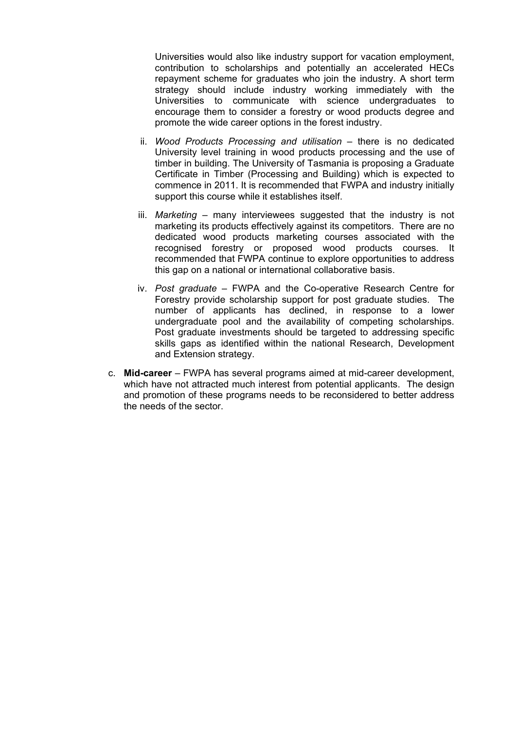Universities would also like industry support for vacation employment, contribution to scholarships and potentially an accelerated HECs repayment scheme for graduates who join the industry. A short term strategy should include industry working immediately with the Universities to communicate with science undergraduates to encourage them to consider a forestry or wood products degree and promote the wide career options in the forest industry.

- ii. *Wood Products Processing and utilisation* there is no dedicated University level training in wood products processing and the use of timber in building. The University of Tasmania is proposing a Graduate Certificate in Timber (Processing and Building) which is expected to commence in 2011. It is recommended that FWPA and industry initially support this course while it establishes itself.
- iii. *Marketing* many interviewees suggested that the industry is not marketing its products effectively against its competitors. There are no dedicated wood products marketing courses associated with the recognised forestry or proposed wood products courses. It recommended that FWPA continue to explore opportunities to address this gap on a national or international collaborative basis.
- iv. *Post graduate* FWPA and the Co-operative Research Centre for Forestry provide scholarship support for post graduate studies. The number of applicants has declined, in response to a lower undergraduate pool and the availability of competing scholarships. Post graduate investments should be targeted to addressing specific skills gaps as identified within the national Research, Development and Extension strategy.
- c. **Mid-career** FWPA has several programs aimed at mid-career development, which have not attracted much interest from potential applicants. The design and promotion of these programs needs to be reconsidered to better address the needs of the sector.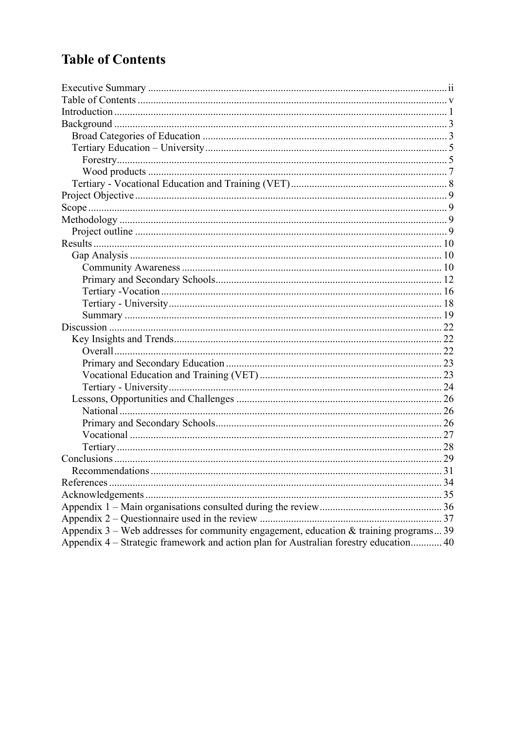# <span id="page-6-0"></span>**Table of Contents**

|                                                                                         | .31 |
|-----------------------------------------------------------------------------------------|-----|
|                                                                                         |     |
|                                                                                         |     |
|                                                                                         |     |
|                                                                                         |     |
| Appendix $3$ – Web addresses for community engagement, education & training programs 39 |     |
| Appendix 4 – Strategic framework and action plan for Australian forestry education 40   |     |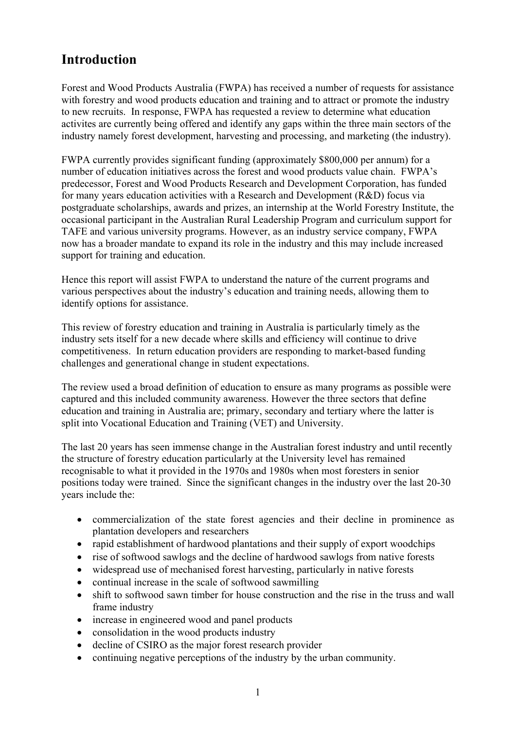# <span id="page-7-0"></span>**Introduction**

Forest and Wood Products Australia (FWPA) has received a number of requests for assistance with forestry and wood products education and training and to attract or promote the industry to new recruits. In response, FWPA has requested a review to determine what education activites are currently being offered and identify any gaps within the three main sectors of the industry namely forest development, harvesting and processing, and marketing (the industry).

FWPA currently provides significant funding (approximately \$800,000 per annum) for a number of education initiatives across the forest and wood products value chain. FWPA's predecessor, Forest and Wood Products Research and Development Corporation, has funded for many years education activities with a Research and Development (R&D) focus via postgraduate scholarships, awards and prizes, an internship at the World Forestry Institute, the occasional participant in the Australian Rural Leadership Program and curriculum support for TAFE and various university programs. However, as an industry service company, FWPA now has a broader mandate to expand its role in the industry and this may include increased support for training and education.

Hence this report will assist FWPA to understand the nature of the current programs and various perspectives about the industry's education and training needs, allowing them to identify options for assistance.

This review of forestry education and training in Australia is particularly timely as the industry sets itself for a new decade where skills and efficiency will continue to drive competitiveness. In return education providers are responding to market-based funding challenges and generational change in student expectations.

The review used a broad definition of education to ensure as many programs as possible were captured and this included community awareness. However the three sectors that define education and training in Australia are; primary, secondary and tertiary where the latter is split into Vocational Education and Training (VET) and University.

The last 20 years has seen immense change in the Australian forest industry and until recently the structure of forestry education particularly at the University level has remained recognisable to what it provided in the 1970s and 1980s when most foresters in senior positions today were trained. Since the significant changes in the industry over the last 20-30 years include the:

- commercialization of the state forest agencies and their decline in prominence as plantation developers and researchers
- rapid establishment of hardwood plantations and their supply of export woodchips
- rise of softwood sawlogs and the decline of hardwood sawlogs from native forests
- widespread use of mechanised forest harvesting, particularly in native forests
- continual increase in the scale of softwood sawmilling
- shift to softwood sawn timber for house construction and the rise in the truss and wall frame industry
- increase in engineered wood and panel products
- consolidation in the wood products industry
- decline of CSIRO as the major forest research provider
- continuing negative perceptions of the industry by the urban community.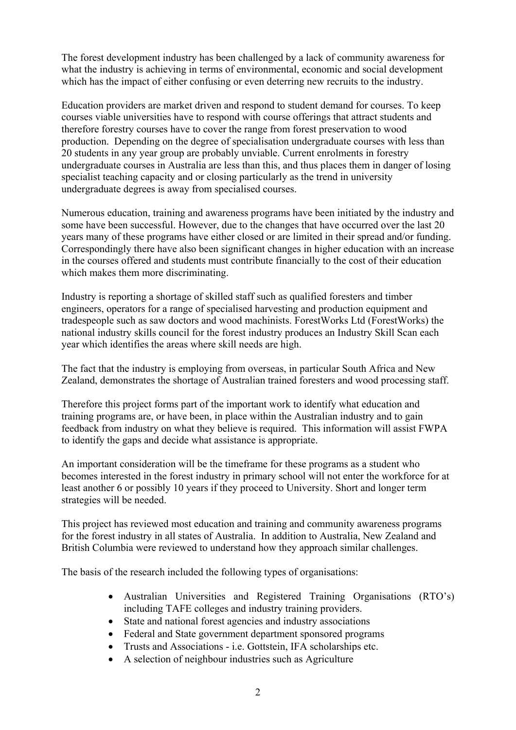The forest development industry has been challenged by a lack of community awareness for what the industry is achieving in terms of environmental, economic and social development which has the impact of either confusing or even deterring new recruits to the industry.

Education providers are market driven and respond to student demand for courses. To keep courses viable universities have to respond with course offerings that attract students and therefore forestry courses have to cover the range from forest preservation to wood production. Depending on the degree of specialisation undergraduate courses with less than 20 students in any year group are probably unviable. Current enrolments in forestry undergraduate courses in Australia are less than this, and thus places them in danger of losing specialist teaching capacity and or closing particularly as the trend in university undergraduate degrees is away from specialised courses.

Numerous education, training and awareness programs have been initiated by the industry and some have been successful. However, due to the changes that have occurred over the last 20 years many of these programs have either closed or are limited in their spread and/or funding. Correspondingly there have also been significant changes in higher education with an increase in the courses offered and students must contribute financially to the cost of their education which makes them more discriminating.

Industry is reporting a shortage of skilled staff such as qualified foresters and timber engineers, operators for a range of specialised harvesting and production equipment and tradespeople such as saw doctors and wood machinists. ForestWorks Ltd (ForestWorks) the national industry skills council for the forest industry produces an Industry Skill Scan each year which identifies the areas where skill needs are high.

The fact that the industry is employing from overseas, in particular South Africa and New Zealand, demonstrates the shortage of Australian trained foresters and wood processing staff.

Therefore this project forms part of the important work to identify what education and training programs are, or have been, in place within the Australian industry and to gain feedback from industry on what they believe is required. This information will assist FWPA to identify the gaps and decide what assistance is appropriate.

An important consideration will be the timeframe for these programs as a student who becomes interested in the forest industry in primary school will not enter the workforce for at least another 6 or possibly 10 years if they proceed to University. Short and longer term strategies will be needed.

This project has reviewed most education and training and community awareness programs for the forest industry in all states of Australia. In addition to Australia, New Zealand and British Columbia were reviewed to understand how they approach similar challenges.

The basis of the research included the following types of organisations:

- Australian Universities and Registered Training Organisations (RTO's) including TAFE colleges and industry training providers.
- State and national forest agencies and industry associations
- Federal and State government department sponsored programs
- Trusts and Associations i.e. Gottstein, IFA scholarships etc.
- A selection of neighbour industries such as Agriculture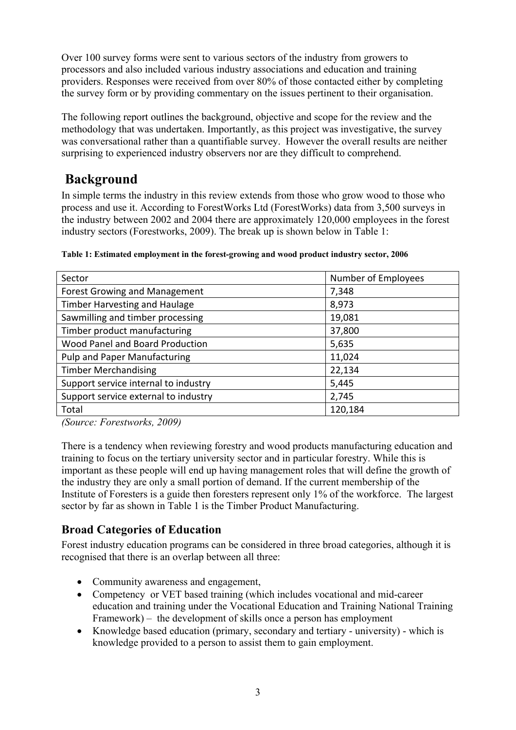Over 100 survey forms were sent to various sectors of the industry from growers to processors and also included various industry associations and education and training providers. Responses were received from over 80% of those contacted either by completing the survey form or by providing commentary on the issues pertinent to their organisation.

The following report outlines the background, objective and scope for the review and the methodology that was undertaken. Importantly, as this project was investigative, the survey was conversational rather than a quantifiable survey. However the overall results are neither surprising to experienced industry observers nor are they difficult to comprehend.

# **Background**

<span id="page-9-0"></span>In simple terms the industry in this review extends from those who grow wood to those who process and use it. According to ForestWorks Ltd (ForestWorks) data from 3,500 surveys in the industry between 2002 and 2004 there are approximately 120,000 employees in the forest industry sectors (Forestworks, 2009). The break up is shown below in Table 1:

| Sector                               | Number of Employees |
|--------------------------------------|---------------------|
| Forest Growing and Management        | 7,348               |
| <b>Timber Harvesting and Haulage</b> | 8,973               |
| Sawmilling and timber processing     | 19,081              |
| Timber product manufacturing         | 37,800              |
| Wood Panel and Board Production      | 5,635               |
| Pulp and Paper Manufacturing         | 11,024              |
| <b>Timber Merchandising</b>          | 22,134              |
| Support service internal to industry | 5,445               |
| Support service external to industry | 2,745               |
| Total                                | 120,184             |

**Table 1: Estimated employment in the forest-growing and wood product industry sector, 2006** 

*(Source: Forestworks, 2009)* 

There is a tendency when reviewing forestry and wood products manufacturing education and training to focus on the tertiary university sector and in particular forestry. While this is important as these people will end up having management roles that will define the growth of the industry they are only a small portion of demand. If the current membership of the Institute of Foresters is a guide then foresters represent only 1% of the workforce. The largest sector by far as shown in Table 1 is the Timber Product Manufacturing.

## <span id="page-9-1"></span>**Broad Categories of Education**

Forest industry education programs can be considered in three broad categories, although it is recognised that there is an overlap between all three:

- Community awareness and engagement,
- Competency or VET based training (which includes vocational and mid-career education and training under the Vocational Education and Training National Training Framework) – the development of skills once a person has employment
- Knowledge based education (primary, secondary and tertiary university) which is knowledge provided to a person to assist them to gain employment.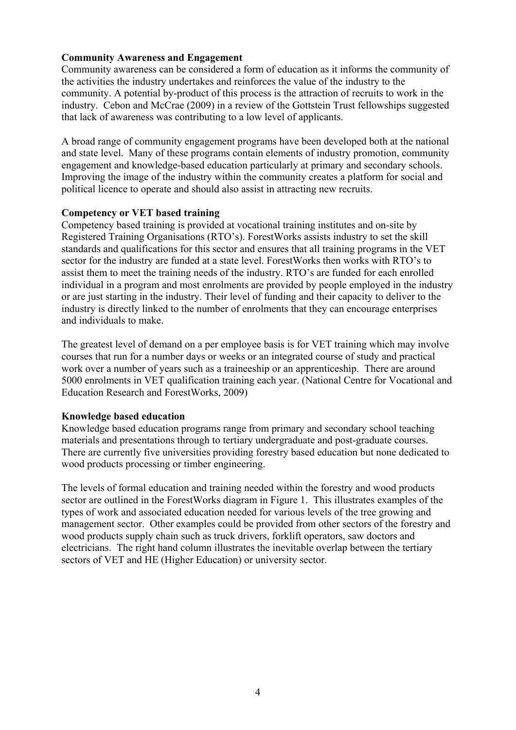#### **Community Awareness and Engagement**

Community awareness can be considered a form of education as it informs the community of the activities the industry undertakes and reinforces the value of the industry to the community. A potential by-product of this process is the attraction of recruits to work in the industry. Cebon and McCrae (2009) in a review of the Gottstein Trust fellowships suggested that lack of awareness was contributing to a low level of applicants.

A broad range of community engagement programs have been developed both at the national and state level. Many of these programs contain elements of industry promotion, community engagement and knowledge-based education particularly at primary and secondary schools. Improving the image of the industry within the community creates a platform for social and political licence to operate and should also assist in attracting new recruits.

#### **Competency or VET based training**

Competency based training is provided at vocational training institutes and on-site by Registered Training Organisations (RTO's). ForestWorks assists industry to set the skill standards and qualifications for this sector and ensures that all training programs in the VET sector for the industry are funded at a state level. ForestWorks then works with RTO's to assist them to meet the training needs of the industry. RTO's are funded for each enrolled individual in a program and most enrolments are provided by people employed in the industry or are just starting in the industry. Their level of funding and their capacity to deliver to the industry is directly linked to the number of enrolments that they can encourage enterprises and individuals to make.

The greatest level of demand on a per employee basis is for VET training which may involve courses that run for a number days or weeks or an integrated course of study and practical work over a number of years such as a traineeship or an apprenticeship. There are around 5000 enrolments in VET qualification training each year. (National Centre for Vocational and Education Research and ForestWorks, 2009)

#### **Knowledge based education**

Knowledge based education programs range from primary and secondary school teaching materials and presentations through to tertiary undergraduate and post-graduate courses. There are currently five universities providing forestry based education but none dedicated to wood products processing or timber engineering.

The levels of formal education and training needed within the forestry and wood products sector are outlined in the ForestWorks diagram in Figure 1. This illustrates examples of the types of work and associated education needed for various levels of the tree growing and management sector. Other examples could be provided from other sectors of the forestry and wood products supply chain such as truck drivers, forklift operators, saw doctors and electricians. The right hand column illustrates the inevitable overlap between the tertiary sectors of VET and HE (Higher Education) or university sector.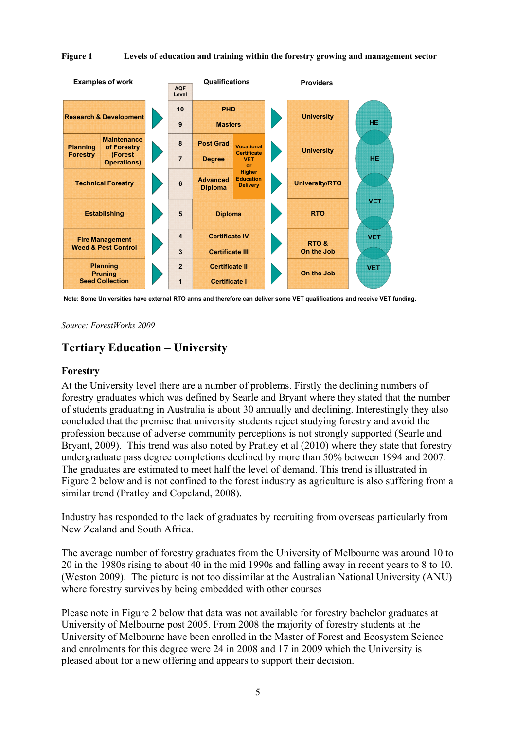#### **Figure 1 Levels of education and training within the forestry growing and management sector**



**Note: Some Universities have external RTO arms and therefore can deliver some VET qualifications and receive VET funding.**

*Source: ForestWorks 2009* 

## <span id="page-11-0"></span>**Tertiary Education – University**

#### <span id="page-11-1"></span>**Forestry**

At the University level there are a number of problems. Firstly the declining numbers of forestry graduates which was defined by Searle and Bryant where they stated that the number of students graduating in Australia is about 30 annually and declining. Interestingly they also concluded that the premise that university students reject studying forestry and avoid the profession because of adverse community perceptions is not strongly supported (Searle and Bryant, 2009). This trend was also noted by Pratley et al (2010) where they state that forestry undergraduate pass degree completions declined by more than 50% between 1994 and 2007. The graduates are estimated to meet half the level of demand. This trend is illustrated in Figure 2 below and is not confined to the forest industry as agriculture is also suffering from a similar trend (Pratley and Copeland, 2008).

Industry has responded to the lack of graduates by recruiting from overseas particularly from New Zealand and South Africa.

The average number of forestry graduates from the University of Melbourne was around 10 to 20 in the 1980s rising to about 40 in the mid 1990s and falling away in recent years to 8 to 10. (Weston 2009). The picture is not too dissimilar at the Australian National University (ANU) where forestry survives by being embedded with other courses

Please note in Figure 2 below that data was not available for forestry bachelor graduates at University of Melbourne post 2005. From 2008 the majority of forestry students at the University of Melbourne have been enrolled in the Master of Forest and Ecosystem Science and enrolments for this degree were 24 in 2008 and 17 in 2009 which the University is pleased about for a new offering and appears to support their decision.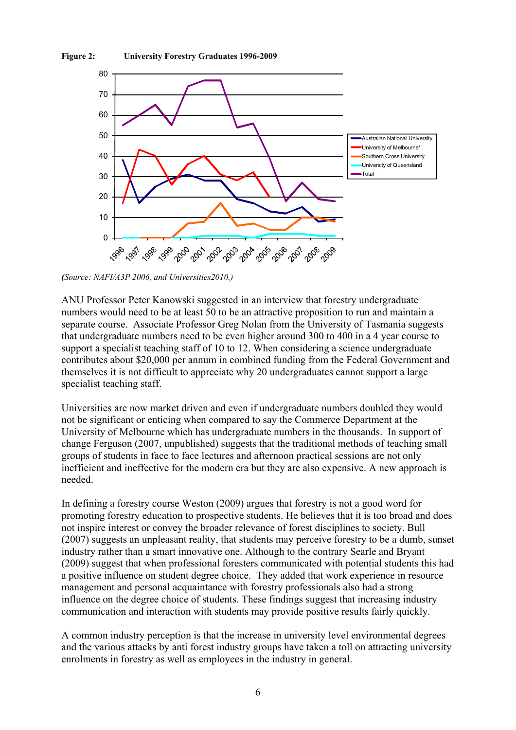



*(Source: NAFI/A3P 2006, and Universities2010.)*

ANU Professor Peter Kanowski suggested in an interview that forestry undergraduate numbers would need to be at least 50 to be an attractive proposition to run and maintain a separate course. Associate Professor Greg Nolan from the University of Tasmania suggests that undergraduate numbers need to be even higher around 300 to 400 in a 4 year course to support a specialist teaching staff of 10 to 12. When considering a science undergraduate contributes about \$20,000 per annum in combined funding from the Federal Government and themselves it is not difficult to appreciate why 20 undergraduates cannot support a large specialist teaching staff.

Universities are now market driven and even if undergraduate numbers doubled they would not be significant or enticing when compared to say the Commerce Department at the University of Melbourne which has undergraduate numbers in the thousands. In support of change Ferguson (2007, unpublished) suggests that the traditional methods of teaching small groups of students in face to face lectures and afternoon practical sessions are not only inefficient and ineffective for the modern era but they are also expensive. A new approach is needed.

In defining a forestry course Weston (2009) argues that forestry is not a good word for promoting forestry education to prospective students. He believes that it is too broad and does not inspire interest or convey the broader relevance of forest disciplines to society. Bull (2007) suggests an unpleasant reality, that students may perceive forestry to be a dumb, sunset industry rather than a smart innovative one. Although to the contrary Searle and Bryant (2009) suggest that when professional foresters communicated with potential students this had a positive influence on student degree choice. They added that work experience in resource management and personal acquaintance with forestry professionals also had a strong influence on the degree choice of students. These findings suggest that increasing industry communication and interaction with students may provide positive results fairly quickly.

A common industry perception is that the increase in university level environmental degrees and the various attacks by anti forest industry groups have taken a toll on attracting university enrolments in forestry as well as employees in the industry in general.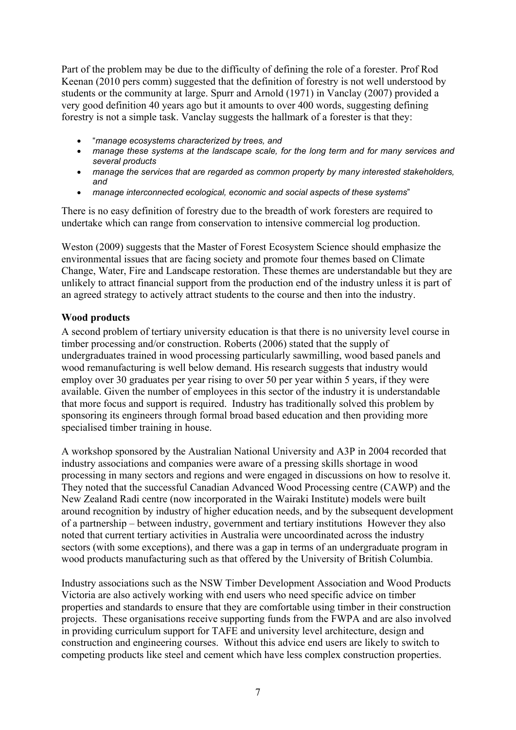Part of the problem may be due to the difficulty of defining the role of a forester. Prof Rod Keenan (2010 pers comm) suggested that the definition of forestry is not well understood by students or the community at large. Spurr and Arnold (1971) in Vanclay (2007) provided a very good definition 40 years ago but it amounts to over 400 words, suggesting defining forestry is not a simple task. Vanclay suggests the hallmark of a forester is that they:

- "*manage ecosystems characterized by trees, and*
- *manage these systems at the landscape scale, for the long term and for many services and several products*
- *manage the services that are regarded as common property by many interested stakeholders, and*
- *manage interconnected ecological, economic and social aspects of these systems*"

There is no easy definition of forestry due to the breadth of work foresters are required to undertake which can range from conservation to intensive commercial log production.

Weston (2009) suggests that the Master of Forest Ecosystem Science should emphasize the environmental issues that are facing society and promote four themes based on Climate Change, Water, Fire and Landscape restoration. These themes are understandable but they are unlikely to attract financial support from the production end of the industry unless it is part of an agreed strategy to actively attract students to the course and then into the industry.

#### <span id="page-13-0"></span>**Wood products**

A second problem of tertiary university education is that there is no university level course in timber processing and/or construction. Roberts (2006) stated that the supply of undergraduates trained in wood processing particularly sawmilling, wood based panels and wood remanufacturing is well below demand. His research suggests that industry would employ over 30 graduates per year rising to over 50 per year within 5 years, if they were available. Given the number of employees in this sector of the industry it is understandable that more focus and support is required. Industry has traditionally solved this problem by sponsoring its engineers through formal broad based education and then providing more specialised timber training in house.

A workshop sponsored by the Australian National University and A3P in 2004 recorded that industry associations and companies were aware of a pressing skills shortage in wood processing in many sectors and regions and were engaged in discussions on how to resolve it. They noted that the successful Canadian Advanced Wood Processing centre (CAWP) and the New Zealand Radi centre (now incorporated in the Wairaki Institute) models were built around recognition by industry of higher education needs, and by the subsequent development of a partnership – between industry, government and tertiary institutions However they also noted that current tertiary activities in Australia were uncoordinated across the industry sectors (with some exceptions), and there was a gap in terms of an undergraduate program in wood products manufacturing such as that offered by the University of British Columbia.

Industry associations such as the NSW Timber Development Association and Wood Products Victoria are also actively working with end users who need specific advice on timber properties and standards to ensure that they are comfortable using timber in their construction projects. These organisations receive supporting funds from the FWPA and are also involved in providing curriculum support for TAFE and university level architecture, design and construction and engineering courses. Without this advice end users are likely to switch to competing products like steel and cement which have less complex construction properties.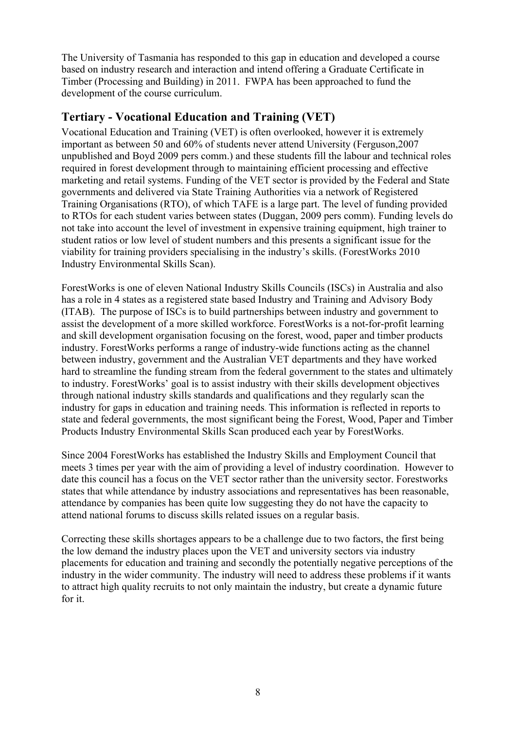The University of Tasmania has responded to this gap in education and developed a course based on industry research and interaction and intend offering a Graduate Certificate in Timber (Processing and Building) in 2011. FWPA has been approached to fund the development of the course curriculum.

## <span id="page-14-0"></span>**Tertiary - Vocational Education and Training (VET)**

Vocational Education and Training (VET) is often overlooked, however it is extremely important as between 50 and 60% of students never attend University (Ferguson,2007 unpublished and Boyd 2009 pers comm.) and these students fill the labour and technical roles required in forest development through to maintaining efficient processing and effective marketing and retail systems. Funding of the VET sector is provided by the Federal and State governments and delivered via State Training Authorities via a network of Registered Training Organisations (RTO), of which TAFE is a large part. The level of funding provided to RTOs for each student varies between states (Duggan, 2009 pers comm). Funding levels do not take into account the level of investment in expensive training equipment, high trainer to student ratios or low level of student numbers and this presents a significant issue for the viability for training providers specialising in the industry's skills. (ForestWorks 2010 Industry Environmental Skills Scan).

ForestWorks is one of eleven National Industry Skills Councils (ISCs) in Australia and also has a role in 4 states as a registered state based Industry and Training and Advisory Body (ITAB). The purpose of ISCs is to build partnerships between industry and government to assist the development of a more skilled workforce. ForestWorks is a not-for-profit learning and skill development organisation focusing on the forest, wood, paper and timber products industry. ForestWorks performs a range of industry-wide functions acting as the channel between industry, government and the Australian VET departments and they have worked hard to streamline the funding stream from the federal government to the states and ultimately to industry. ForestWorks' goal is to assist industry with their skills development objectives through national industry skills standards and qualifications and they regularly scan the industry for gaps in education and training needs. This information is reflected in reports to state and federal governments, the most significant being the Forest, Wood, Paper and Timber Products Industry Environmental Skills Scan produced each year by ForestWorks.

Since 2004 ForestWorks has established the Industry Skills and Employment Council that meets 3 times per year with the aim of providing a level of industry coordination. However to date this council has a focus on the VET sector rather than the university sector. Forestworks states that while attendance by industry associations and representatives has been reasonable, attendance by companies has been quite low suggesting they do not have the capacity to attend national forums to discuss skills related issues on a regular basis.

Correcting these skills shortages appears to be a challenge due to two factors, the first being the low demand the industry places upon the VET and university sectors via industry placements for education and training and secondly the potentially negative perceptions of the industry in the wider community. The industry will need to address these problems if it wants to attract high quality recruits to not only maintain the industry, but create a dynamic future for it.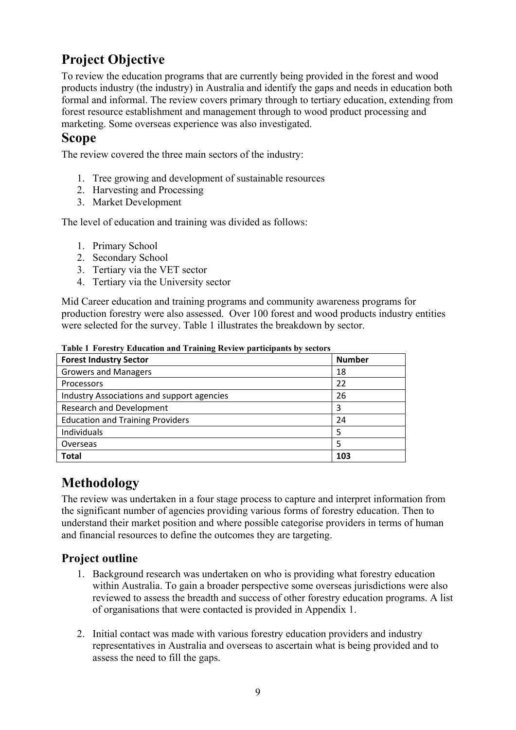# <span id="page-15-0"></span>**Project Objective**

To review the education programs that are currently being provided in the forest and wood products industry (the industry) in Australia and identify the gaps and needs in education both formal and informal. The review covers primary through to tertiary education, extending from forest resource establishment and management through to wood product processing and marketing. Some overseas experience was also investigated.

## <span id="page-15-1"></span>**Scope**

The review covered the three main sectors of the industry:

- 1. Tree growing and development of sustainable resources
- 2. Harvesting and Processing
- 3. Market Development

The level of education and training was divided as follows:

- 1. Primary School
- 2. Secondary School
- 3. Tertiary via the VET sector
- 4. Tertiary via the University sector

Mid Career education and training programs and community awareness programs for production forestry were also assessed. Over 100 forest and wood products industry entities were selected for the survey. [Table 1](#page-15-4) illustrates the breakdown by sector.

<span id="page-15-4"></span>

| <b>Forest Industry Sector</b>              | <b>Number</b> |
|--------------------------------------------|---------------|
| <b>Growers and Managers</b>                | 18            |
| Processors                                 | 22            |
| Industry Associations and support agencies | 26            |
| <b>Research and Development</b>            | 3             |
| <b>Education and Training Providers</b>    | 24            |
| Individuals                                | 5             |
| Overseas                                   | 5             |
| <b>Total</b>                               | 103           |

**Table 1 Forestry Education and Training Review participants by sectors** 

# <span id="page-15-2"></span>**Methodology**

The review was undertaken in a four stage process to capture and interpret information from the significant number of agencies providing various forms of forestry education. Then to understand their market position and where possible categorise providers in terms of human and financial resources to define the outcomes they are targeting.

## <span id="page-15-3"></span>**Project outline**

- 1. Background research was undertaken on who is providing what forestry education within Australia. To gain a broader perspective some overseas jurisdictions were also reviewed to assess the breadth and success of other forestry education programs. A list of organisations that were contacted is provided in Appendix 1.
- 2. Initial contact was made with various forestry education providers and industry representatives in Australia and overseas to ascertain what is being provided and to assess the need to fill the gaps.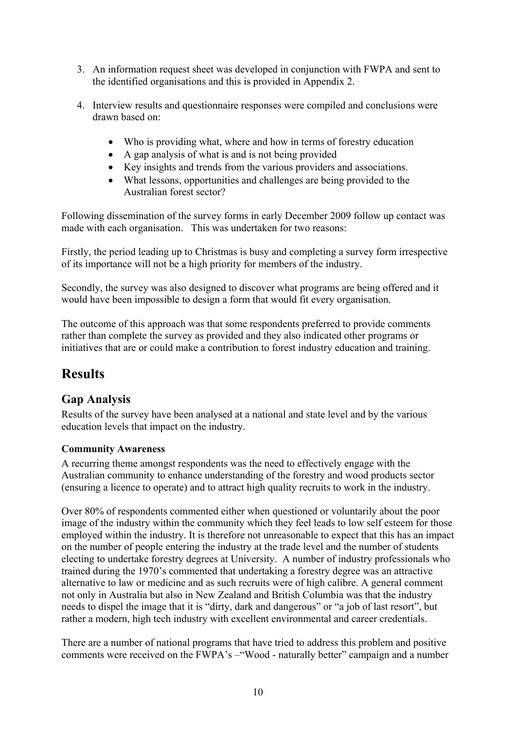- 3. An information request sheet was developed in conjunction with FWPA and sent to the identified organisations and this is provided in Appendix 2.
- 4. Interview results and questionnaire responses were compiled and conclusions were drawn based on:
	- Who is providing what, where and how in terms of forestry education
	- A gap analysis of what is and is not being provided
	- Key insights and trends from the various providers and associations.
	- What lessons, opportunities and challenges are being provided to the Australian forest sector?

Following dissemination of the survey forms in early December 2009 follow up contact was made with each organisation. This was undertaken for two reasons:

Firstly, the period leading up to Christmas is busy and completing a survey form irrespective of its importance will not be a high priority for members of the industry.

Secondly, the survey was also designed to discover what programs are being offered and it would have been impossible to design a form that would fit every organisation.

The outcome of this approach was that some respondents preferred to provide comments rather than complete the survey as provided and they also indicated other programs or initiatives that are or could make a contribution to forest industry education and training.

# <span id="page-16-0"></span>**Results**

## <span id="page-16-1"></span>**Gap Analysis**

Results of the survey have been analysed at a national and state level and by the various education levels that impact on the industry.

#### <span id="page-16-2"></span>**Community Awareness**

A recurring theme amongst respondents was the need to effectively engage with the Australian community to enhance understanding of the forestry and wood products sector (ensuring a licence to operate) and to attract high quality recruits to work in the industry.

Over 80% of respondents commented either when questioned or voluntarily about the poor image of the industry within the community which they feel leads to low self esteem for those employed within the industry. It is therefore not unreasonable to expect that this has an impact on the number of people entering the industry at the trade level and the number of students electing to undertake forestry degrees at University. A number of industry professionals who trained during the 1970's commented that undertaking a forestry degree was an attractive alternative to law or medicine and as such recruits were of high calibre. A general comment not only in Australia but also in New Zealand and British Columbia was that the industry needs to dispel the image that it is "dirty, dark and dangerous" or "a job of last resort", but rather a modern, high tech industry with excellent environmental and career credentials.

There are a number of national programs that have tried to address this problem and positive comments were received on the FWPA's –"Wood - naturally better" campaign and a number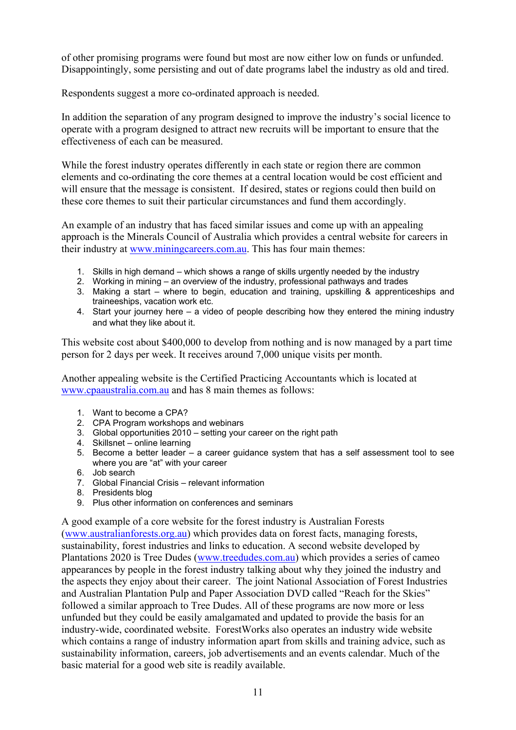of other promising programs were found but most are now either low on funds or unfunded. Disappointingly, some persisting and out of date programs label the industry as old and tired.

Respondents suggest a more co-ordinated approach is needed.

In addition the separation of any program designed to improve the industry's social licence to operate with a program designed to attract new recruits will be important to ensure that the effectiveness of each can be measured.

While the forest industry operates differently in each state or region there are common elements and co-ordinating the core themes at a central location would be cost efficient and will ensure that the message is consistent. If desired, states or regions could then build on these core themes to suit their particular circumstances and fund them accordingly.

An example of an industry that has faced similar issues and come up with an appealing approach is the Minerals Council of Australia which provides a central website for careers in their industry at [www.miningcareers.com.au.](http://www.miningcareers.com.au/) This has four main themes:

- 1. Skills in high demand which shows a range of skills urgently needed by the industry
- 2. Working in mining an overview of the industry, professional pathways and trades
- 3. Making a start where to begin, education and training, upskilling & apprenticeships and traineeships, vacation work etc.
- 4. Start your journey here a video of people describing how they entered the mining industry and what they like about it.

This website cost about \$400,000 to develop from nothing and is now managed by a part time person for 2 days per week. It receives around 7,000 unique visits per month.

Another appealing website is the Certified Practicing Accountants which is located at [www.cpaaustralia.com.au](http://www.cpaaustralia.com.au/) and has 8 main themes as follows:

- 1. Want to become a CPA?
- 2. CPA Program workshops and webinars
- 3. Global opportunities 2010 setting your career on the right path
- 4. Skillsnet online learning
- 5. Become a better leader a career guidance system that has a self assessment tool to see where you are "at" with your career
- 6. Job search
- 7. Global Financial Crisis relevant information
- 8. Presidents blog
- 9. Plus other information on conferences and seminars

A good example of a core website for the forest industry is Australian Forests ([www.australianforests.org.au\)](http://www.australianforests.org.au/) which provides data on forest facts, managing forests, sustainability, forest industries and links to education. A second website developed by Plantations 2020 is Tree Dudes ([www.treedudes.com.au\)](http://www.treedudes.com.au/) which provides a series of cameo appearances by people in the forest industry talking about why they joined the industry and the aspects they enjoy about their career. The joint National Association of Forest Industries and Australian Plantation Pulp and Paper Association DVD called "Reach for the Skies" followed a similar approach to Tree Dudes. All of these programs are now more or less unfunded but they could be easily amalgamated and updated to provide the basis for an industry-wide, coordinated website. ForestWorks also operates an industry wide website which contains a range of industry information apart from skills and training advice, such as sustainability information, careers, job advertisements and an events calendar. Much of the basic material for a good web site is readily available.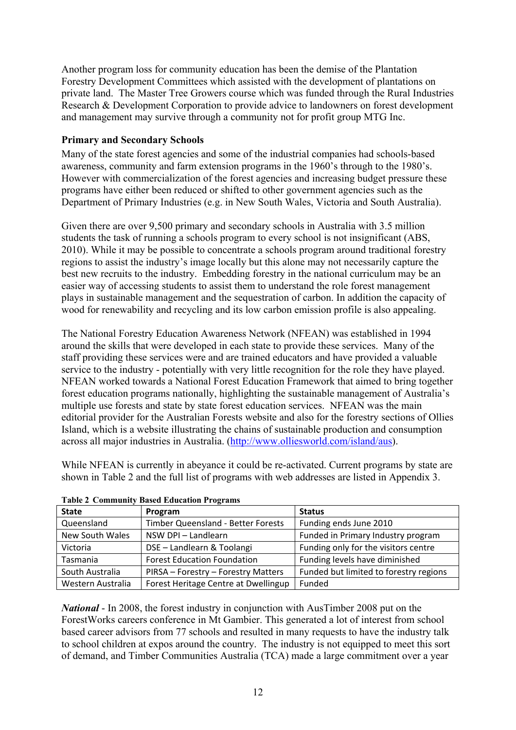Another program loss for community education has been the demise of the Plantation Forestry Development Committees which assisted with the development of plantations on private land. The Master Tree Growers course which was funded through the Rural Industries Research & Development Corporation to provide advice to landowners on forest development and management may survive through a community not for profit group MTG Inc.

#### <span id="page-18-0"></span>**Primary and Secondary Schools**

Many of the state forest agencies and some of the industrial companies had schools-based awareness, community and farm extension programs in the 1960's through to the 1980's. However with commercialization of the forest agencies and increasing budget pressure these programs have either been reduced or shifted to other government agencies such as the Department of Primary Industries (e.g. in New South Wales, Victoria and South Australia).

Given there are over 9,500 primary and secondary schools in Australia with 3.5 million students the task of running a schools program to every school is not insignificant (ABS, 2010). While it may be possible to concentrate a schools program around traditional forestry regions to assist the industry's image locally but this alone may not necessarily capture the best new recruits to the industry. Embedding forestry in the national curriculum may be an easier way of accessing students to assist them to understand the role forest management plays in sustainable management and the sequestration of carbon. In addition the capacity of wood for renewability and recycling and its low carbon emission profile is also appealing.

The National Forestry Education Awareness Network (NFEAN) was established in 1994 around the skills that were developed in each state to provide these services. Many of the staff providing these services were and are trained educators and have provided a valuable service to the industry - potentially with very little recognition for the role they have played. NFEAN worked towards a National Forest Education Framework that aimed to bring together forest education programs nationally, highlighting the sustainable management of Australia's multiple use forests and state by state forest education services. NFEAN was the main editorial provider for the Australian Forests website and also for the forestry sections of Ollies Island, which is a website illustrating the chains of sustainable production and consumption across all major industries in Australia. ([http://www.olliesworld.com/island/aus\)](http://www.olliesworld.com/island/aus).

While NFEAN is currently in abeyance it could be re-activated. Current programs by state are shown in Table 2 and the full list of programs with web addresses are listed in Appendix 3.

| <b>State</b>      | Program                              | <b>Status</b>                          |
|-------------------|--------------------------------------|----------------------------------------|
| Queensland        | Timber Queensland - Better Forests   | Funding ends June 2010                 |
| New South Wales   | NSW DPI - Landlearn                  | Funded in Primary Industry program     |
| Victoria          | DSE - Landlearn & Toolangi           | Funding only for the visitors centre   |
| Tasmania          | <b>Forest Education Foundation</b>   | Funding levels have diminished         |
| South Australia   | PIRSA - Forestry - Forestry Matters  | Funded but limited to forestry regions |
| Western Australia | Forest Heritage Centre at Dwellingup | Funded                                 |

| <b>Table 2 Community Based Education Programs</b> |  |  |
|---------------------------------------------------|--|--|
|                                                   |  |  |

*National* - In 2008, the forest industry in conjunction with AusTimber 2008 put on the ForestWorks careers conference in Mt Gambier. This generated a lot of interest from school based career advisors from 77 schools and resulted in many requests to have the industry talk to school children at expos around the country. The industry is not equipped to meet this sort of demand, and Timber Communities Australia (TCA) made a large commitment over a year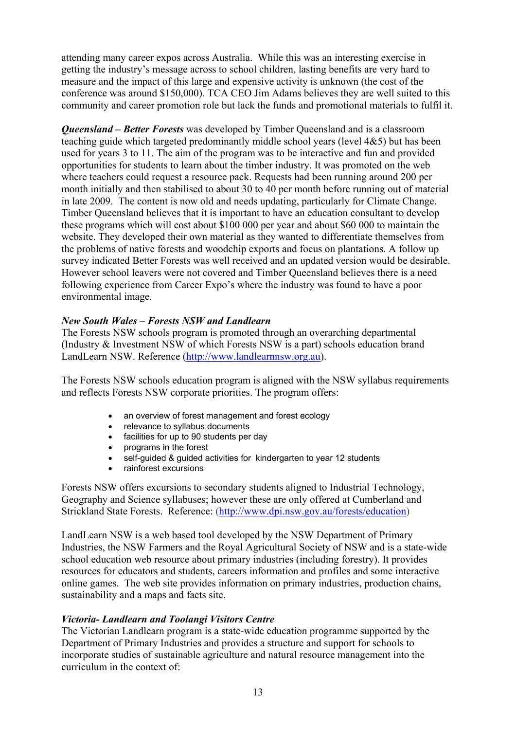attending many career expos across Australia. While this was an interesting exercise in getting the industry's message across to school children, lasting benefits are very hard to measure and the impact of this large and expensive activity is unknown (the cost of the conference was around \$150,000). TCA CEO Jim Adams believes they are well suited to this community and career promotion role but lack the funds and promotional materials to fulfil it.

*Queensland – Better Forests* was developed by Timber Queensland and is a classroom teaching guide which targeted predominantly middle school years (level 4&5) but has been used for years 3 to 11. The aim of the program was to be interactive and fun and provided opportunities for students to learn about the timber industry. It was promoted on the web where teachers could request a resource pack. Requests had been running around 200 per month initially and then stabilised to about 30 to 40 per month before running out of material in late 2009. The content is now old and needs updating, particularly for Climate Change. Timber Queensland believes that it is important to have an education consultant to develop these programs which will cost about \$100 000 per year and about \$60 000 to maintain the website. They developed their own material as they wanted to differentiate themselves from the problems of native forests and woodchip exports and focus on plantations. A follow up survey indicated Better Forests was well received and an updated version would be desirable. However school leavers were not covered and Timber Queensland believes there is a need following experience from Career Expo's where the industry was found to have a poor environmental image.

#### *New South Wales – Forests NSW and Landlearn*

The Forests NSW schools program is promoted through an overarching departmental (Industry & Investment NSW of which Forests NSW is a part) schools education brand LandLearn NSW. Reference ([http://www.landlearnnsw.org.au\)](http://www.landlearnnsw.org.au/).

The Forests NSW schools education program is aligned with the NSW syllabus requirements and reflects Forests NSW corporate priorities. The program offers:

- an overview of forest management and forest ecology
- relevance to syllabus documents
- facilities for up to 90 students per day
- programs in the forest
- self-guided & guided activities for kindergarten to year 12 students
- rainforest excursions

Forests NSW offers excursions to secondary students aligned to Industrial Technology, Geography and Science syllabuses; however these are only offered at Cumberland and Strickland State Forests. Reference: ([http://www.dpi.nsw.gov.au/forests/education\)](http://www.dpi.nsw.gov.au/forests/education)

LandLearn NSW is a web based tool developed by the NSW Department of Primary Industries, the NSW Farmers and the Royal Agricultural Society of NSW and is a state-wide school education web resource about primary industries (including forestry). It provides resources for educators and students, careers information and profiles and some interactive online games. The web site provides information on primary industries, production chains, sustainability and a maps and facts site.

#### *Victoria- Landlearn and Toolangi Visitors Centre*

The Victorian Landlearn program is a state-wide education programme supported by the Department of Primary Industries and provides a structure and support for schools to incorporate studies of sustainable agriculture and natural resource management into the curriculum in the context of: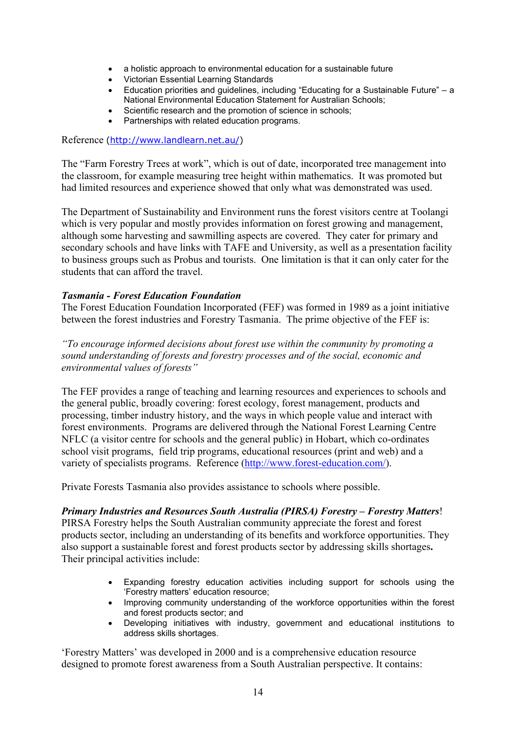- a holistic approach to environmental education for a sustainable future
- Victorian Essential Learning Standards
- Education priorities and guidelines, including "Educating for a Sustainable Future" a National Environmental Education Statement for Australian Schools;
- Scientific research and the promotion of science in schools;
- Partnerships with related education programs.

Reference [\(http://www.landlearn.net.au/](http://www.landlearn.net.au/))

The "Farm Forestry Trees at work", which is out of date, incorporated tree management into the classroom, for example measuring tree height within mathematics. It was promoted but had limited resources and experience showed that only what was demonstrated was used.

The Department of Sustainability and Environment runs the forest visitors centre at Toolangi which is very popular and mostly provides information on forest growing and management. although some harvesting and sawmilling aspects are covered. They cater for primary and secondary schools and have links with TAFE and University, as well as a presentation facility to business groups such as Probus and tourists. One limitation is that it can only cater for the students that can afford the travel.

#### *Tasmania - Forest Education Foundation*

The Forest Education Foundation Incorporated (FEF) was formed in 1989 as a joint initiative between the forest industries and Forestry Tasmania. The prime objective of the FEF is:

*"To encourage informed decisions about forest use within the community by promoting a sound understanding of forests and forestry processes and of the social, economic and environmental values of forests"*

The FEF provides a range of teaching and learning resources and experiences to schools and the general public, broadly covering: forest ecology, forest management, products and processing, timber industry history, and the ways in which people value and interact with forest environments. Programs are delivered through the National Forest Learning Centre NFLC (a visitor centre for schools and the general public) in Hobart, which co-ordinates school visit programs, field trip programs, educational resources (print and web) and a variety of specialists programs. Reference [\(http://www.forest-education.com/](http://www.forest-education.com/)).

Private Forests Tasmania also provides assistance to schools where possible.

#### *Primary Industries and Resources South Australia (PIRSA) Forestry – Forestry Matters*!

PIRSA Forestry helps the South Australian community appreciate the forest and forest products sector, including an understanding of its benefits and workforce opportunities. They also support a sustainable forest and forest products sector by addressing skills shortages**.**  Their principal activities include:

- Expanding forestry education activities including support for schools using the 'Forestry matters' education resource;
- Improving community understanding of the workforce opportunities within the forest and forest products sector; and
- Developing initiatives with industry, government and educational institutions to address skills shortages.

'Forestry Matters' was developed in 2000 and is a comprehensive education resource designed to promote forest awareness from a South Australian perspective. It contains: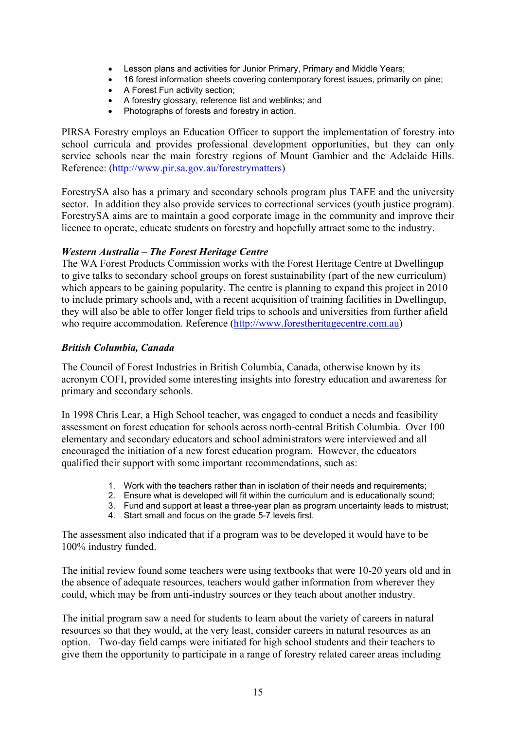- Lesson plans and activities for Junior Primary, Primary and Middle Years;
- 16 forest information sheets covering contemporary forest issues, primarily on pine;
- A Forest Fun activity section;
- A forestry glossary, reference list and weblinks; and
- Photographs of forests and forestry in action.

PIRSA Forestry employs an Education Officer to support the implementation of forestry into school curricula and provides professional development opportunities, but they can only service schools near the main forestry regions of Mount Gambier and the Adelaide Hills. Reference: (<http://www.pir.sa.gov.au/forestrymatters>)

ForestrySA also has a primary and secondary schools program plus TAFE and the university sector. In addition they also provide services to correctional services (youth justice program). ForestrySA aims are to maintain a good corporate image in the community and improve their licence to operate, educate students on forestry and hopefully attract some to the industry.

#### *Western Australia – The Forest Heritage Centre*

The WA Forest Products Commission works with the Forest Heritage Centre at Dwellingup to give talks to secondary school groups on forest sustainability (part of the new curriculum) which appears to be gaining popularity. The centre is planning to expand this project in 2010 to include primary schools and, with a recent acquisition of training facilities in Dwellingup, they will also be able to offer longer field trips to schools and universities from further afield who require accommodation. Reference ([http://www.forestheritagecentre.com.au\)](http://www.forestheritagecentre.com.au/)

#### *British Columbia, Canada*

The Council of Forest Industries in British Columbia, Canada, otherwise known by its acronym COFI, provided some interesting insights into forestry education and awareness for primary and secondary schools.

In 1998 Chris Lear, a High School teacher, was engaged to conduct a needs and feasibility assessment on forest education for schools across north-central British Columbia. Over 100 elementary and secondary educators and school administrators were interviewed and all encouraged the initiation of a new forest education program. However, the educators qualified their support with some important recommendations, such as:

- 1. Work with the teachers rather than in isolation of their needs and requirements;
- 2. Ensure what is developed will fit within the curriculum and is educationally sound;
- 3. Fund and support at least a three-year plan as program uncertainty leads to mistrust;
- 4. Start small and focus on the grade 5-7 levels first.

The assessment also indicated that if a program was to be developed it would have to be 100% industry funded.

The initial review found some teachers were using textbooks that were 10-20 years old and in the absence of adequate resources, teachers would gather information from wherever they could, which may be from anti-industry sources or they teach about another industry.

The initial program saw a need for students to learn about the variety of careers in natural resources so that they would, at the very least, consider careers in natural resources as an option. Two-day field camps were initiated for high school students and their teachers to give them the opportunity to participate in a range of forestry related career areas including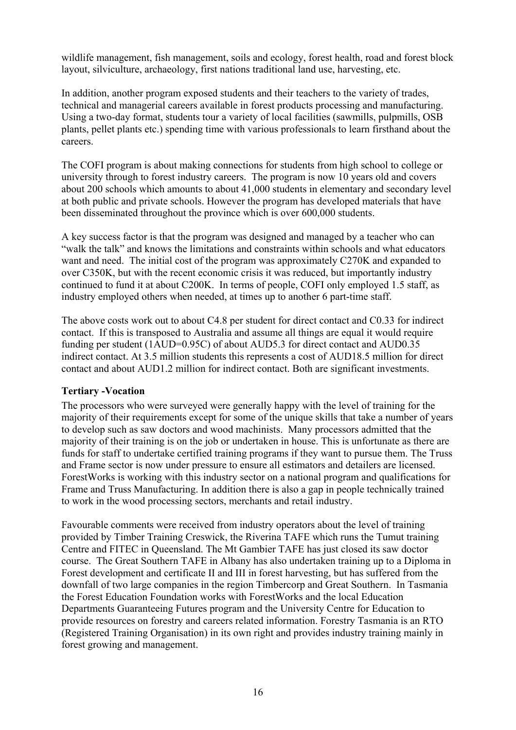wildlife management, fish management, soils and ecology, forest health, road and forest block layout, silviculture, archaeology, first nations traditional land use, harvesting, etc.

In addition, another program exposed students and their teachers to the variety of trades, technical and managerial careers available in forest products processing and manufacturing. Using a two-day format, students tour a variety of local facilities (sawmills, pulpmills, OSB plants, pellet plants etc.) spending time with various professionals to learn firsthand about the careers.

The COFI program is about making connections for students from high school to college or university through to forest industry careers. The program is now 10 years old and covers about 200 schools which amounts to about 41,000 students in elementary and secondary level at both public and private schools. However the program has developed materials that have been disseminated throughout the province which is over 600,000 students.

A key success factor is that the program was designed and managed by a teacher who can "walk the talk" and knows the limitations and constraints within schools and what educators want and need. The initial cost of the program was approximately C270K and expanded to over C350K, but with the recent economic crisis it was reduced, but importantly industry continued to fund it at about C200K. In terms of people, COFI only employed 1.5 staff, as industry employed others when needed, at times up to another 6 part-time staff.

The above costs work out to about C4.8 per student for direct contact and C0.33 for indirect contact. If this is transposed to Australia and assume all things are equal it would require funding per student (1AUD=0.95C) of about AUD5.3 for direct contact and AUD0.35 indirect contact. At 3.5 million students this represents a cost of AUD18.5 million for direct contact and about AUD1.2 million for indirect contact. Both are significant investments.

#### <span id="page-22-0"></span>**Tertiary -Vocation**

The processors who were surveyed were generally happy with the level of training for the majority of their requirements except for some of the unique skills that take a number of years to develop such as saw doctors and wood machinists. Many processors admitted that the majority of their training is on the job or undertaken in house. This is unfortunate as there are funds for staff to undertake certified training programs if they want to pursue them. The Truss and Frame sector is now under pressure to ensure all estimators and detailers are licensed. ForestWorks is working with this industry sector on a national program and qualifications for Frame and Truss Manufacturing. In addition there is also a gap in people technically trained to work in the wood processing sectors, merchants and retail industry.

Favourable comments were received from industry operators about the level of training provided by Timber Training Creswick, the Riverina TAFE which runs the Tumut training Centre and FITEC in Queensland. The Mt Gambier TAFE has just closed its saw doctor course. The Great Southern TAFE in Albany has also undertaken training up to a Diploma in Forest development and certificate II and III in forest harvesting, but has suffered from the downfall of two large companies in the region Timbercorp and Great Southern. In Tasmania the Forest Education Foundation works with ForestWorks and the local Education Departments Guaranteeing Futures program and the University Centre for Education to provide resources on forestry and careers related information. Forestry Tasmania is an RTO (Registered Training Organisation) in its own right and provides industry training mainly in forest growing and management.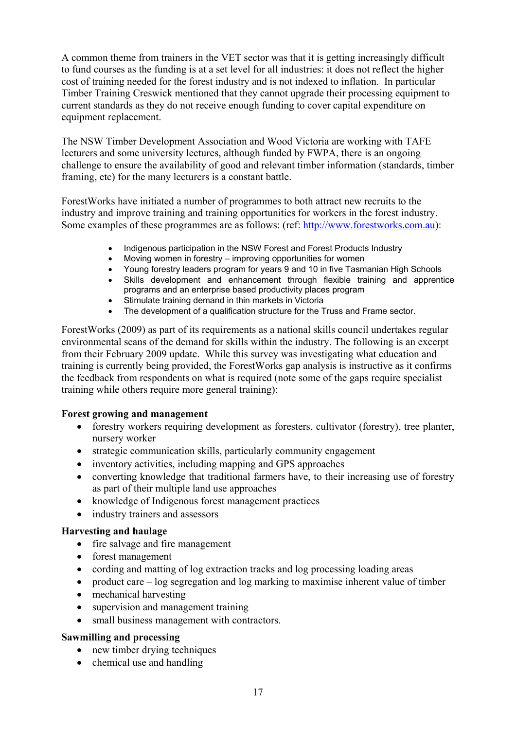A common theme from trainers in the VET sector was that it is getting increasingly difficult to fund courses as the funding is at a set level for all industries: it does not reflect the higher cost of training needed for the forest industry and is not indexed to inflation. In particular Timber Training Creswick mentioned that they cannot upgrade their processing equipment to current standards as they do not receive enough funding to cover capital expenditure on equipment replacement.

The NSW Timber Development Association and Wood Victoria are working with TAFE lecturers and some university lectures, although funded by FWPA, there is an ongoing challenge to ensure the availability of good and relevant timber information (standards, timber framing, etc) for the many lecturers is a constant battle.

ForestWorks have initiated a number of programmes to both attract new recruits to the industry and improve training and training opportunities for workers in the forest industry. Some examples of these programmes are as follows: (ref: [http://www.forestworks.com.au](http://www.forestworks.com.au/)):

- Indigenous participation in the NSW Forest and Forest Products Industry
- Moving women in forestry improving opportunities for women
- Young forestry leaders program for years 9 and 10 in five Tasmanian High Schools
- Skills development and enhancement through flexible training and apprentice programs and an enterprise based productivity places program
- Stimulate training demand in thin markets in Victoria<br>• The development of a qualification structure for the T
- The development of a qualification structure for the Truss and Frame sector.

ForestWorks (2009) as part of its requirements as a national skills council undertakes regular environmental scans of the demand for skills within the industry. The following is an excerpt from their February 2009 update. While this survey was investigating what education and training is currently being provided, the ForestWorks gap analysis is instructive as it confirms the feedback from respondents on what is required (note some of the gaps require specialist training while others require more general training):

#### **Forest growing and management**

- forestry workers requiring development as foresters, cultivator (forestry), tree planter, nursery worker
- strategic communication skills, particularly community engagement
- inventory activities, including mapping and GPS approaches
- converting knowledge that traditional farmers have, to their increasing use of forestry as part of their multiple land use approaches
- knowledge of Indigenous forest management practices
- industry trainers and assessors

#### **Harvesting and haulage**

- fire salvage and fire management
- forest management
- cording and matting of log extraction tracks and log processing loading areas
- product care log segregation and log marking to maximise inherent value of timber
- mechanical harvesting
- supervision and management training
- small business management with contractors.

#### **Sawmilling and processing**

- new timber drying techniques
- chemical use and handling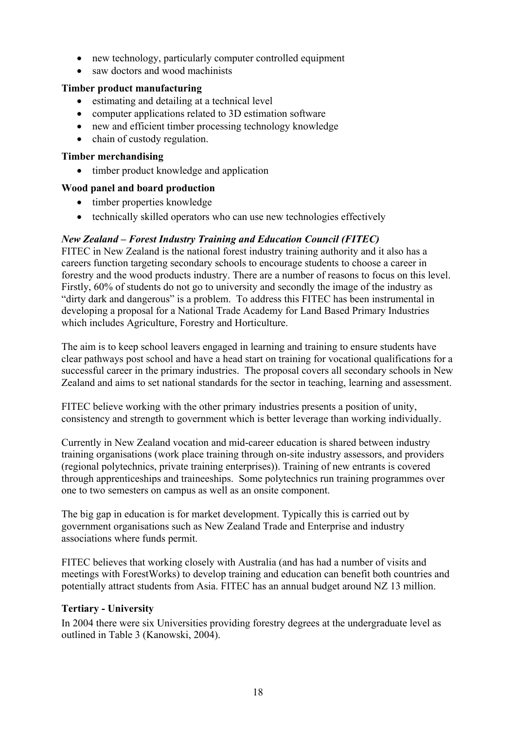- new technology, particularly computer controlled equipment
- saw doctors and wood machinists

#### **Timber product manufacturing**

- estimating and detailing at a technical level
- computer applications related to 3D estimation software
- new and efficient timber processing technology knowledge
- chain of custody regulation.

#### **Timber merchandising**

• timber product knowledge and application

#### **Wood panel and board production**

- timber properties knowledge
- technically skilled operators who can use new technologies effectively

#### *New Zealand – Forest Industry Training and Education Council (FITEC)*

FITEC in New Zealand is the national forest industry training authority and it also has a careers function targeting secondary schools to encourage students to choose a career in forestry and the wood products industry. There are a number of reasons to focus on this level. Firstly, 60% of students do not go to university and secondly the image of the industry as "dirty dark and dangerous" is a problem. To address this FITEC has been instrumental in developing a proposal for a National Trade Academy for Land Based Primary Industries which includes Agriculture, Forestry and Horticulture.

The aim is to keep school leavers engaged in learning and training to ensure students have clear pathways post school and have a head start on training for vocational qualifications for a successful career in the primary industries. The proposal covers all secondary schools in New Zealand and aims to set national standards for the sector in teaching, learning and assessment.

FITEC believe working with the other primary industries presents a position of unity, consistency and strength to government which is better leverage than working individually.

Currently in New Zealand vocation and mid-career education is shared between industry training organisations (work place training through on-site industry assessors, and providers (regional polytechnics, private training enterprises)). Training of new entrants is covered through apprenticeships and traineeships. Some polytechnics run training programmes over one to two semesters on campus as well as an onsite component.

The big gap in education is for market development. Typically this is carried out by government organisations such as New Zealand Trade and Enterprise and industry associations where funds permit.

FITEC believes that working closely with Australia (and has had a number of visits and meetings with ForestWorks) to develop training and education can benefit both countries and potentially attract students from Asia. FITEC has an annual budget around NZ 13 million.

#### <span id="page-24-0"></span>**Tertiary - University**

In 2004 there were six Universities providing forestry degrees at the undergraduate level as outlined in Table 3 (Kanowski, 2004).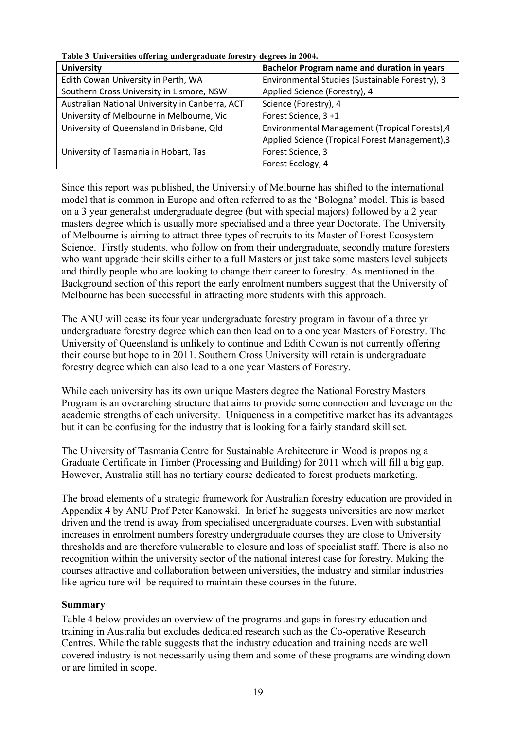| <b>University</b>                               | Bachelor Program name and duration in years     |
|-------------------------------------------------|-------------------------------------------------|
| Edith Cowan University in Perth, WA             | Environmental Studies (Sustainable Forestry), 3 |
| Southern Cross University in Lismore, NSW       | Applied Science (Forestry), 4                   |
| Australian National University in Canberra, ACT | Science (Forestry), 4                           |
| University of Melbourne in Melbourne, Vic       | Forest Science, 3+1                             |
| University of Queensland in Brisbane, Qld       | Environmental Management (Tropical Forests), 4  |
|                                                 | Applied Science (Tropical Forest Management), 3 |
| University of Tasmania in Hobart, Tas           | Forest Science, 3                               |
|                                                 | Forest Ecology, 4                               |

**Table 3 Universities offering undergraduate forestry degrees in 2004.** 

Since this report was published, the University of Melbourne has shifted to the international model that is common in Europe and often referred to as the 'Bologna' model. This is based on a 3 year generalist undergraduate degree (but with special majors) followed by a 2 year masters degree which is usually more specialised and a three year Doctorate. The University of Melbourne is aiming to attract three types of recruits to its Master of Forest Ecosystem Science. Firstly students, who follow on from their undergraduate, secondly mature foresters who want upgrade their skills either to a full Masters or just take some masters level subjects and thirdly people who are looking to change their career to forestry. As mentioned in the Background section of this report the early enrolment numbers suggest that the University of Melbourne has been successful in attracting more students with this approach.

The ANU will cease its four year undergraduate forestry program in favour of a three yr undergraduate forestry degree which can then lead on to a one year Masters of Forestry. The University of Queensland is unlikely to continue and Edith Cowan is not currently offering their course but hope to in 2011. Southern Cross University will retain is undergraduate forestry degree which can also lead to a one year Masters of Forestry.

While each university has its own unique Masters degree the National Forestry Masters Program is an overarching structure that aims to provide some connection and leverage on the academic strengths of each university. Uniqueness in a competitive market has its advantages but it can be confusing for the industry that is looking for a fairly standard skill set.

The University of Tasmania Centre for Sustainable Architecture in Wood is proposing a Graduate Certificate in Timber (Processing and Building) for 2011 which will fill a big gap. However, Australia still has no tertiary course dedicated to forest products marketing.

The broad elements of a strategic framework for Australian forestry education are provided in Appendix 4 by ANU Prof Peter Kanowski. In brief he suggests universities are now market driven and the trend is away from specialised undergraduate courses. Even with substantial increases in enrolment numbers forestry undergraduate courses they are close to University thresholds and are therefore vulnerable to closure and loss of specialist staff. There is also no recognition within the university sector of the national interest case for forestry. Making the courses attractive and collaboration between universities, the industry and similar industries like agriculture will be required to maintain these courses in the future.

#### <span id="page-25-0"></span>**Summary**

Table 4 below provides an overview of the programs and gaps in forestry education and training in Australia but excludes dedicated research such as the Co-operative Research Centres. While the table suggests that the industry education and training needs are well covered industry is not necessarily using them and some of these programs are winding down or are limited in scope.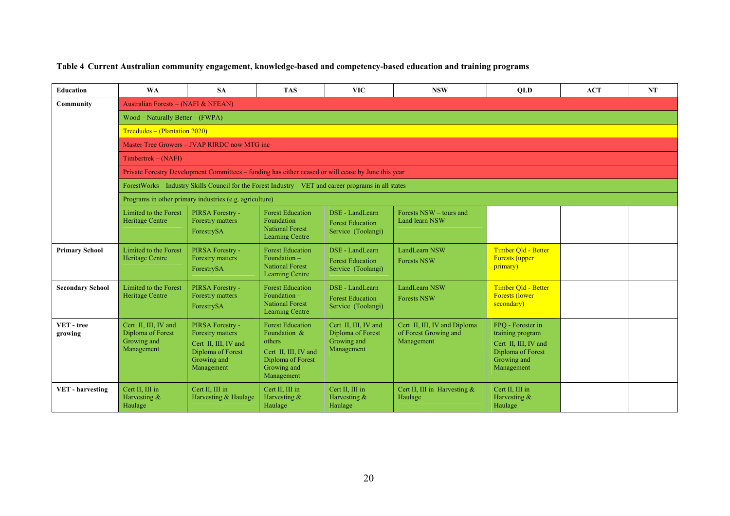#### **Table 4 Current Australian community engagement, knowledge-based and competency-based education and training programs**

| <b>Education</b>        | <b>WA</b>                                                              | <b>SA</b>                                                                                                      | <b>TAS</b>                                                                                                                  | <b>VIC</b>                                                             | <b>NSW</b>                                                          | <b>OLD</b>                                                                                                      | <b>ACT</b> | <b>NT</b> |
|-------------------------|------------------------------------------------------------------------|----------------------------------------------------------------------------------------------------------------|-----------------------------------------------------------------------------------------------------------------------------|------------------------------------------------------------------------|---------------------------------------------------------------------|-----------------------------------------------------------------------------------------------------------------|------------|-----------|
| Community               | Australian Forests - (NAFI & NFEAN)                                    |                                                                                                                |                                                                                                                             |                                                                        |                                                                     |                                                                                                                 |            |           |
|                         | $Wood - Naturally Better - (FWPA)$                                     |                                                                                                                |                                                                                                                             |                                                                        |                                                                     |                                                                                                                 |            |           |
|                         | Treedudes – (Plantation 2020)                                          |                                                                                                                |                                                                                                                             |                                                                        |                                                                     |                                                                                                                 |            |           |
|                         |                                                                        | Master Tree Growers – JVAP RIRDC now MTG inc                                                                   |                                                                                                                             |                                                                        |                                                                     |                                                                                                                 |            |           |
|                         | $Timbertrek - (NAFI)$                                                  |                                                                                                                |                                                                                                                             |                                                                        |                                                                     |                                                                                                                 |            |           |
|                         |                                                                        | Private Forestry Development Committees - funding has either ceased or will cease by June this year            |                                                                                                                             |                                                                        |                                                                     |                                                                                                                 |            |           |
|                         |                                                                        | ForestWorks – Industry Skills Council for the Forest Industry – VET and career programs in all states          |                                                                                                                             |                                                                        |                                                                     |                                                                                                                 |            |           |
|                         |                                                                        | Programs in other primary industries (e.g. agriculture)                                                        |                                                                                                                             |                                                                        |                                                                     |                                                                                                                 |            |           |
|                         | Limited to the Forest<br>Heritage Centre                               | PIRSA Forestry -<br>Forestry matters<br>ForestrySA                                                             | <b>Forest Education</b><br>Foundation -<br><b>National Forest</b><br><b>Learning Centre</b>                                 | DSE - LandLearn<br><b>Forest Education</b><br>Service (Toolangi)       | Forests NSW – tours and<br>Land learn NSW                           |                                                                                                                 |            |           |
| <b>Primary School</b>   | Limited to the Forest<br>Heritage Centre                               | PIRSA Forestry -<br>Forestry matters<br>ForestrySA                                                             | <b>Forest Education</b><br>Foundation $-$<br><b>National Forest</b><br><b>Learning Centre</b>                               | DSE - LandLearn<br><b>Forest Education</b><br>Service (Toolangi)       | LandLearn NSW<br><b>Forests NSW</b>                                 | Timber Qld - Better<br><b>Forests</b> (upper<br>primary)                                                        |            |           |
| <b>Secondary School</b> | Limited to the Forest<br><b>Heritage Centre</b>                        | PIRSA Forestry -<br>Forestry matters<br>ForestrySA                                                             | <b>Forest Education</b><br>Foundation -<br><b>National Forest</b><br>Learning Centre                                        | DSE - LandLearn<br><b>Forest Education</b><br>Service (Toolangi)       | LandLearn NSW<br><b>Forests NSW</b>                                 | Timber Old - Better<br><b>Forests (lower</b><br>secondary)                                                      |            |           |
| VET-tree<br>growing     | Cert II, III, IV and<br>Diploma of Forest<br>Growing and<br>Management | PIRSA Forestry -<br>Forestry matters<br>Cert II, III, IV and<br>Diploma of Forest<br>Growing and<br>Management | <b>Forest Education</b><br>Foundation &<br>others<br>Cert II, III, IV and<br>Diploma of Forest<br>Growing and<br>Management | Cert II, III, IV and<br>Diploma of Forest<br>Growing and<br>Management | Cert II, III, IV and Diploma<br>of Forest Growing and<br>Management | FPQ - Forester in<br>training program<br>Cert II, III, IV and<br>Diploma of Forest<br>Growing and<br>Management |            |           |
| <b>VET</b> - harvesting | Cert II, III in<br>Harvesting $&$<br>Haulage                           | Cert II, III in<br>Harvesting & Haulage                                                                        | Cert II. III in<br>Harvesting $&$<br>Haulage                                                                                | Cert II, III in<br>Harvesting $&$<br>Haulage                           | Cert II, III in Harvesting $&$<br>Haulage                           | Cert II, III in<br>Harvesting $&$<br>Haulage                                                                    |            |           |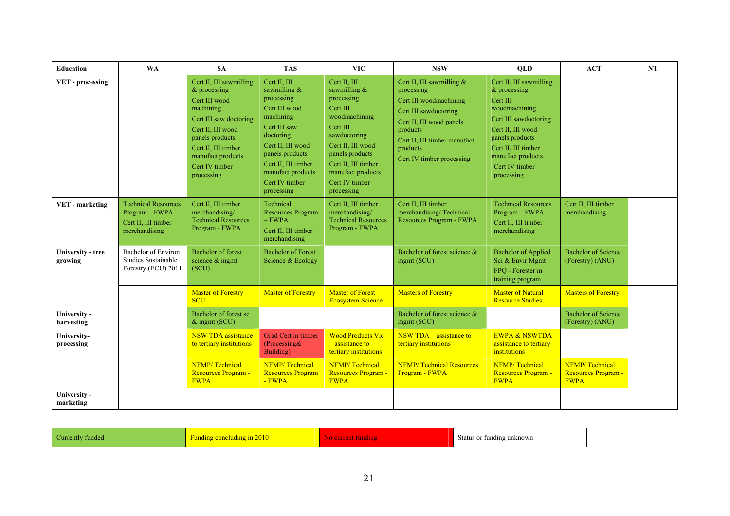| <b>Education</b>                    | <b>WA</b>                                                                            | <b>SA</b>                                                                                                                                                                                                               | <b>TAS</b>                                                                                                                                                                                                                  | <b>VIC</b>                                                                                                                                                                                                                | <b>NSW</b>                                                                                                                                                                                                    | <b>OLD</b>                                                                                                                                                                                                           | <b>ACT</b>                                           | NT |
|-------------------------------------|--------------------------------------------------------------------------------------|-------------------------------------------------------------------------------------------------------------------------------------------------------------------------------------------------------------------------|-----------------------------------------------------------------------------------------------------------------------------------------------------------------------------------------------------------------------------|---------------------------------------------------------------------------------------------------------------------------------------------------------------------------------------------------------------------------|---------------------------------------------------------------------------------------------------------------------------------------------------------------------------------------------------------------|----------------------------------------------------------------------------------------------------------------------------------------------------------------------------------------------------------------------|------------------------------------------------------|----|
| VET - processing                    |                                                                                      | Cert II, III sawmilling<br>$&\,$ processing<br>Cert III wood<br>machining<br>Cert III saw doctoring<br>Cert II. III wood<br>panels products<br>Cert II, III timber<br>manufact products<br>Cert IV timber<br>processing | Cert II. III<br>sawmilling $&$<br>processing<br>Cert III wood<br>machining<br>Cert III saw<br>doctoring<br>Cert II. III wood<br>panels products<br>Cert II, III timber<br>manufact products<br>Cert IV timber<br>processing | Cert II. III<br>sawmilling $&$<br>processing<br>Cert III<br>woodmachining<br>Cert III<br>sawdoctoring<br>Cert II. III wood<br>panels products<br>Cert II, III timber<br>manufact products<br>Cert IV timber<br>processing | Cert II, III sawmilling $&$<br>processing<br>Cert III woodmachining<br>Cert III sawdoctoring<br>Cert II, III wood panels<br>products<br>Cert II. III timber manufact<br>products<br>Cert IV timber processing | Cert II, III sawmilling<br>$\&$ processing<br>Cert III<br>woodmachining<br>Cert III sawdoctoring<br>Cert II. III wood<br>panels products<br>Cert II, III timber<br>manufact products<br>Cert IV timber<br>processing |                                                      |    |
| VET - marketing                     | <b>Technical Resources</b><br>Program - FWPA<br>Cert II, III timber<br>merchandising | Cert II, III timber<br>merchandising/<br><b>Technical Resources</b><br>Program - FWPA                                                                                                                                   | Technical<br><b>Resources Program</b><br>$-FWPA$<br>Cert II, III timber<br>merchandising                                                                                                                                    | Cert II, III timber<br>merchandising/<br><b>Technical Resources</b><br>Program - FWPA                                                                                                                                     | Cert II. III timber<br>merchandising/Technical<br>Resources Program - FWPA                                                                                                                                    | <b>Technical Resources</b><br>Program - FWPA<br>Cert II, III timber<br>merchandising                                                                                                                                 | Cert II, III timber<br>merchandising                 |    |
| <b>University - tree</b><br>growing | Bachelor of Environ<br>Studies Sustainable<br>Forestry (ECU) 2011                    | <b>Bachelor</b> of forest<br>science & mgmt<br>(SCU)                                                                                                                                                                    | <b>Bachelor</b> of Forest<br>Science & Ecology                                                                                                                                                                              |                                                                                                                                                                                                                           | Bachelor of forest science &<br>mgmt (SCU)                                                                                                                                                                    | <b>Bachelor of Applied</b><br>Sci & Envir Mgmt<br>FPQ - Forester in<br>training program                                                                                                                              | <b>Bachelor of Science</b><br>(Forestry) (ANU)       |    |
|                                     |                                                                                      | <b>Master of Forestry</b><br><b>SCU</b>                                                                                                                                                                                 | <b>Master of Forestry</b>                                                                                                                                                                                                   | <b>Master of Forest</b><br><b>Ecosystem Science</b>                                                                                                                                                                       | <b>Masters of Forestry</b>                                                                                                                                                                                    | <b>Master of Natural</b><br><b>Resource Studies</b>                                                                                                                                                                  | <b>Masters of Forestry</b>                           |    |
| University -<br>harvesting          |                                                                                      | Bachelor of forest sc<br>$&$ mgmt (SCU)                                                                                                                                                                                 |                                                                                                                                                                                                                             |                                                                                                                                                                                                                           | Bachelor of forest science &<br>mgmt (SCU)                                                                                                                                                                    |                                                                                                                                                                                                                      | <b>Bachelor of Science</b><br>(Forestry) (ANU)       |    |
| University-<br>processing           |                                                                                      | <b>NSW TDA</b> assistance<br>to tertiary institutions                                                                                                                                                                   | Grad Cert in timber<br>(Processing &<br>Building)                                                                                                                                                                           | <b>Wood Products Vic</b><br>$-$ assistance to<br>tertiary institutions                                                                                                                                                    | NSW TDA $-$ assistance to<br>tertiary institutions                                                                                                                                                            | <b>EWPA &amp; NSWTDA</b><br>assistance to tertiary<br>institutions                                                                                                                                                   |                                                      |    |
|                                     |                                                                                      | NFMP/Technical<br><b>Resources Program -</b><br><b>FWPA</b>                                                                                                                                                             | NFMP/Technical<br><b>Resources Program</b><br>- FWPA                                                                                                                                                                        | NFMP/Technical<br><b>Resources Program -</b><br><b>FWPA</b>                                                                                                                                                               | <b>NFMP/Technical Resources</b><br>Program - FWPA                                                                                                                                                             | NFMP/Technical<br>Resources Program -<br><b>FWPA</b>                                                                                                                                                                 | NFMP/Technical<br>Resources Program -<br><b>FWPA</b> |    |
| University -<br>marketing           |                                                                                      |                                                                                                                                                                                                                         |                                                                                                                                                                                                                             |                                                                                                                                                                                                                           |                                                                                                                                                                                                               |                                                                                                                                                                                                                      |                                                      |    |

| Currently funded | <b>Funding concluding in 2010</b> | Status or funding unknown |  |
|------------------|-----------------------------------|---------------------------|--|
|                  |                                   |                           |  |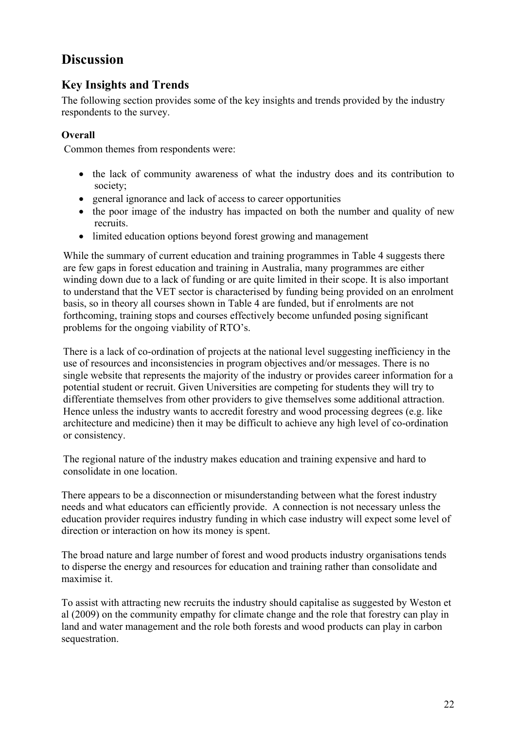# <span id="page-28-0"></span>**Discussion**

## <span id="page-28-1"></span>**Key Insights and Trends**

The following section provides some of the key insights and trends provided by the industry respondents to the survey.

## <span id="page-28-2"></span>**Overall**

Common themes from respondents were:

- the lack of community awareness of what the industry does and its contribution to society;
- general ignorance and lack of access to career opportunities
- the poor image of the industry has impacted on both the number and quality of new recruits.
- limited education options beyond forest growing and management

While the summary of current education and training programmes in Table 4 suggests there are few gaps in forest education and training in Australia, many programmes are either winding down due to a lack of funding or are quite limited in their scope. It is also important to understand that the VET sector is characterised by funding being provided on an enrolment basis, so in theory all courses shown in Table 4 are funded, but if enrolments are not forthcoming, training stops and courses effectively become unfunded posing significant problems for the ongoing viability of RTO's.

There is a lack of co-ordination of projects at the national level suggesting inefficiency in the use of resources and inconsistencies in program objectives and/or messages. There is no single website that represents the majority of the industry or provides career information for a potential student or recruit. Given Universities are competing for students they will try to differentiate themselves from other providers to give themselves some additional attraction. Hence unless the industry wants to accredit forestry and wood processing degrees (e.g. like architecture and medicine) then it may be difficult to achieve any high level of co-ordination or consistency.

The regional nature of the industry makes education and training expensive and hard to consolidate in one location.

There appears to be a disconnection or misunderstanding between what the forest industry needs and what educators can efficiently provide. A connection is not necessary unless the education provider requires industry funding in which case industry will expect some level of direction or interaction on how its money is spent.

The broad nature and large number of forest and wood products industry organisations tends to disperse the energy and resources for education and training rather than consolidate and maximise it.

To assist with attracting new recruits the industry should capitalise as suggested by Weston et al (2009) on the community empathy for climate change and the role that forestry can play in land and water management and the role both forests and wood products can play in carbon sequestration.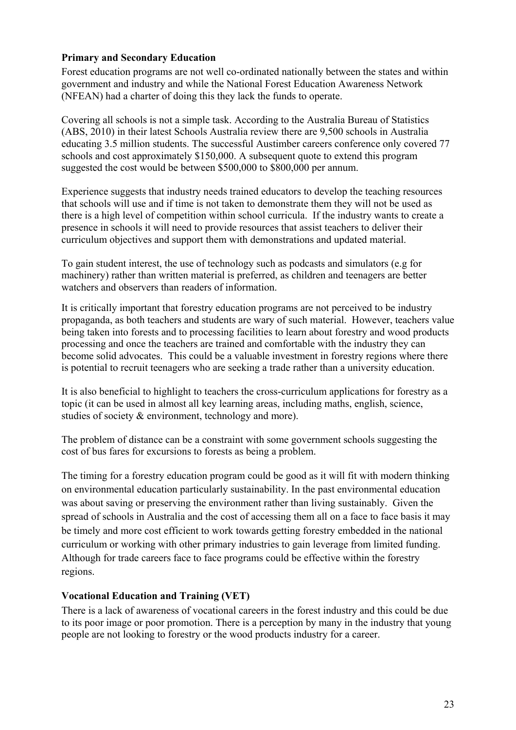#### <span id="page-29-0"></span>**Primary and Secondary Education**

Forest education programs are not well co-ordinated nationally between the states and within government and industry and while the National Forest Education Awareness Network (NFEAN) had a charter of doing this they lack the funds to operate.

Covering all schools is not a simple task. According to the Australia Bureau of Statistics (ABS, 2010) in their latest Schools Australia review there are 9,500 schools in Australia educating 3.5 million students. The successful Austimber careers conference only covered 77 schools and cost approximately \$150,000. A subsequent quote to extend this program suggested the cost would be between \$500,000 to \$800,000 per annum.

Experience suggests that industry needs trained educators to develop the teaching resources that schools will use and if time is not taken to demonstrate them they will not be used as there is a high level of competition within school curricula. If the industry wants to create a presence in schools it will need to provide resources that assist teachers to deliver their curriculum objectives and support them with demonstrations and updated material.

To gain student interest, the use of technology such as podcasts and simulators (e.g for machinery) rather than written material is preferred, as children and teenagers are better watchers and observers than readers of information.

It is critically important that forestry education programs are not perceived to be industry propaganda, as both teachers and students are wary of such material. However, teachers value being taken into forests and to processing facilities to learn about forestry and wood products processing and once the teachers are trained and comfortable with the industry they can become solid advocates. This could be a valuable investment in forestry regions where there is potential to recruit teenagers who are seeking a trade rather than a university education.

It is also beneficial to highlight to teachers the cross-curriculum applications for forestry as a topic (it can be used in almost all key learning areas, including maths, english, science, studies of society & environment, technology and more).

The problem of distance can be a constraint with some government schools suggesting the cost of bus fares for excursions to forests as being a problem.

The timing for a forestry education program could be good as it will fit with modern thinking on environmental education particularly sustainability. In the past environmental education was about saving or preserving the environment rather than living sustainably. Given the spread of schools in Australia and the cost of accessing them all on a face to face basis it may be timely and more cost efficient to work towards getting forestry embedded in the national curriculum or working with other primary industries to gain leverage from limited funding. Although for trade careers face to face programs could be effective within the forestry regions.

#### <span id="page-29-1"></span>**Vocational Education and Training (VET)**

There is a lack of awareness of vocational careers in the forest industry and this could be due to its poor image or poor promotion. There is a perception by many in the industry that young people are not looking to forestry or the wood products industry for a career.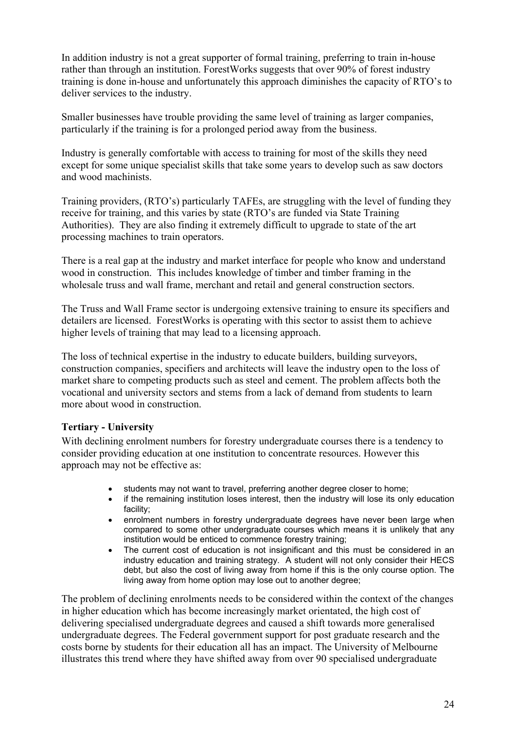In addition industry is not a great supporter of formal training, preferring to train in-house rather than through an institution. ForestWorks suggests that over 90% of forest industry training is done in-house and unfortunately this approach diminishes the capacity of RTO's to deliver services to the industry.

Smaller businesses have trouble providing the same level of training as larger companies, particularly if the training is for a prolonged period away from the business.

Industry is generally comfortable with access to training for most of the skills they need except for some unique specialist skills that take some years to develop such as saw doctors and wood machinists.

Training providers, (RTO's) particularly TAFEs, are struggling with the level of funding they receive for training, and this varies by state (RTO's are funded via State Training Authorities). They are also finding it extremely difficult to upgrade to state of the art processing machines to train operators.

There is a real gap at the industry and market interface for people who know and understand wood in construction. This includes knowledge of timber and timber framing in the wholesale truss and wall frame, merchant and retail and general construction sectors.

The Truss and Wall Frame sector is undergoing extensive training to ensure its specifiers and detailers are licensed. ForestWorks is operating with this sector to assist them to achieve higher levels of training that may lead to a licensing approach.

The loss of technical expertise in the industry to educate builders, building surveyors, construction companies, specifiers and architects will leave the industry open to the loss of market share to competing products such as steel and cement. The problem affects both the vocational and university sectors and stems from a lack of demand from students to learn more about wood in construction.

#### <span id="page-30-0"></span>**Tertiary - University**

With declining enrolment numbers for forestry undergraduate courses there is a tendency to consider providing education at one institution to concentrate resources. However this approach may not be effective as:

- students may not want to travel, preferring another degree closer to home;
- if the remaining institution loses interest, then the industry will lose its only education facility;
- enrolment numbers in forestry undergraduate degrees have never been large when compared to some other undergraduate courses which means it is unlikely that any institution would be enticed to commence forestry training;
- The current cost of education is not insignificant and this must be considered in an industry education and training strategy. A student will not only consider their HECS debt, but also the cost of living away from home if this is the only course option. The living away from home option may lose out to another degree;

The problem of declining enrolments needs to be considered within the context of the changes in higher education which has become increasingly market orientated, the high cost of delivering specialised undergraduate degrees and caused a shift towards more generalised undergraduate degrees. The Federal government support for post graduate research and the costs borne by students for their education all has an impact. The University of Melbourne illustrates this trend where they have shifted away from over 90 specialised undergraduate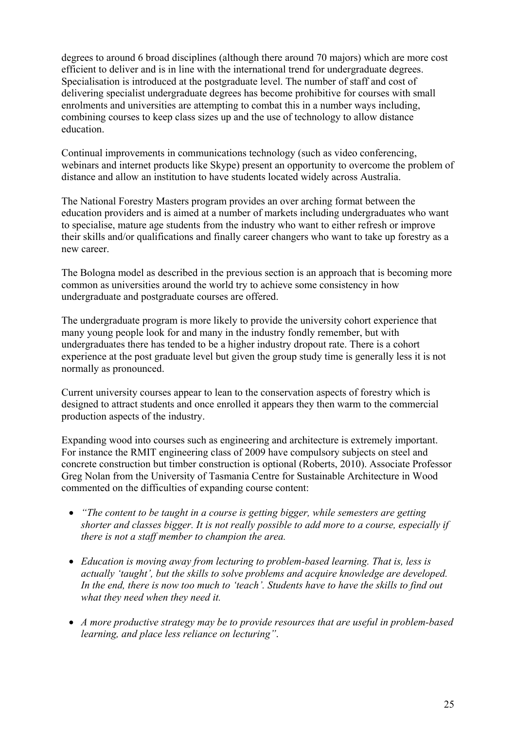degrees to around 6 broad disciplines (although there around 70 majors) which are more cost efficient to deliver and is in line with the international trend for undergraduate degrees. Specialisation is introduced at the postgraduate level. The number of staff and cost of delivering specialist undergraduate degrees has become prohibitive for courses with small enrolments and universities are attempting to combat this in a number ways including, combining courses to keep class sizes up and the use of technology to allow distance education.

Continual improvements in communications technology (such as video conferencing, webinars and internet products like Skype) present an opportunity to overcome the problem of distance and allow an institution to have students located widely across Australia.

The National Forestry Masters program provides an over arching format between the education providers and is aimed at a number of markets including undergraduates who want to specialise, mature age students from the industry who want to either refresh or improve their skills and/or qualifications and finally career changers who want to take up forestry as a new career.

The Bologna model as described in the previous section is an approach that is becoming more common as universities around the world try to achieve some consistency in how undergraduate and postgraduate courses are offered.

The undergraduate program is more likely to provide the university cohort experience that many young people look for and many in the industry fondly remember, but with undergraduates there has tended to be a higher industry dropout rate. There is a cohort experience at the post graduate level but given the group study time is generally less it is not normally as pronounced.

Current university courses appear to lean to the conservation aspects of forestry which is designed to attract students and once enrolled it appears they then warm to the commercial production aspects of the industry.

Expanding wood into courses such as engineering and architecture is extremely important. For instance the RMIT engineering class of 2009 have compulsory subjects on steel and concrete construction but timber construction is optional (Roberts, 2010). Associate Professor Greg Nolan from the University of Tasmania Centre for Sustainable Architecture in Wood commented on the difficulties of expanding course content:

- *"The content to be taught in a course is getting bigger, while semesters are getting shorter and classes bigger. It is not really possible to add more to a course, especially if there is not a staff member to champion the area.*
- *Education is moving away from lecturing to problem-based learning. That is, less is actually 'taught', but the skills to solve problems and acquire knowledge are developed. In the end, there is now too much to 'teach'. Students have to have the skills to find out what they need when they need it.*
- *A more productive strategy may be to provide resources that are useful in problem-based learning, and place less reliance on lecturing"*.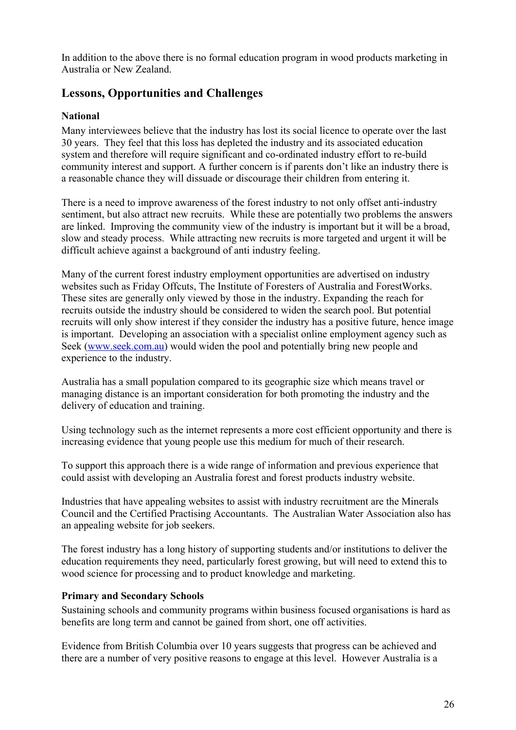In addition to the above there is no formal education program in wood products marketing in Australia or New Zealand.

## <span id="page-32-0"></span>**Lessons, Opportunities and Challenges**

#### <span id="page-32-1"></span>**National**

Many interviewees believe that the industry has lost its social licence to operate over the last 30 years. They feel that this loss has depleted the industry and its associated education system and therefore will require significant and co-ordinated industry effort to re-build community interest and support. A further concern is if parents don't like an industry there is a reasonable chance they will dissuade or discourage their children from entering it.

There is a need to improve awareness of the forest industry to not only offset anti-industry sentiment, but also attract new recruits. While these are potentially two problems the answers are linked. Improving the community view of the industry is important but it will be a broad, slow and steady process. While attracting new recruits is more targeted and urgent it will be difficult achieve against a background of anti industry feeling.

Many of the current forest industry employment opportunities are advertised on industry websites such as Friday Offcuts, The Institute of Foresters of Australia and ForestWorks. These sites are generally only viewed by those in the industry. Expanding the reach for recruits outside the industry should be considered to widen the search pool. But potential recruits will only show interest if they consider the industry has a positive future, hence image is important. Developing an association with a specialist online employment agency such as Seek [\(www.seek.com.au\)](http://www.seek.com.au/) would widen the pool and potentially bring new people and experience to the industry.

Australia has a small population compared to its geographic size which means travel or managing distance is an important consideration for both promoting the industry and the delivery of education and training.

Using technology such as the internet represents a more cost efficient opportunity and there is increasing evidence that young people use this medium for much of their research.

To support this approach there is a wide range of information and previous experience that could assist with developing an Australia forest and forest products industry website.

Industries that have appealing websites to assist with industry recruitment are the Minerals Council and the Certified Practising Accountants. The Australian Water Association also has an appealing website for job seekers.

The forest industry has a long history of supporting students and/or institutions to deliver the education requirements they need, particularly forest growing, but will need to extend this to wood science for processing and to product knowledge and marketing.

#### <span id="page-32-2"></span>**Primary and Secondary Schools**

Sustaining schools and community programs within business focused organisations is hard as benefits are long term and cannot be gained from short, one off activities.

Evidence from British Columbia over 10 years suggests that progress can be achieved and there are a number of very positive reasons to engage at this level. However Australia is a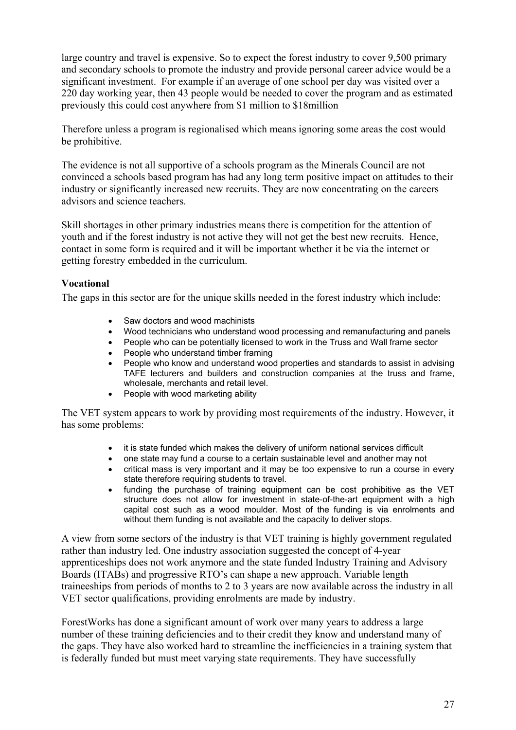large country and travel is expensive. So to expect the forest industry to cover 9,500 primary and secondary schools to promote the industry and provide personal career advice would be a significant investment. For example if an average of one school per day was visited over a 220 day working year, then 43 people would be needed to cover the program and as estimated previously this could cost anywhere from \$1 million to \$18million

Therefore unless a program is regionalised which means ignoring some areas the cost would be prohibitive.

The evidence is not all supportive of a schools program as the Minerals Council are not convinced a schools based program has had any long term positive impact on attitudes to their industry or significantly increased new recruits. They are now concentrating on the careers advisors and science teachers.

Skill shortages in other primary industries means there is competition for the attention of youth and if the forest industry is not active they will not get the best new recruits. Hence, contact in some form is required and it will be important whether it be via the internet or getting forestry embedded in the curriculum.

#### <span id="page-33-0"></span>**Vocational**

The gaps in this sector are for the unique skills needed in the forest industry which include:

- Saw doctors and wood machinists
- Wood technicians who understand wood processing and remanufacturing and panels
- People who can be potentially licensed to work in the Truss and Wall frame sector
- People who understand timber framing
- People who know and understand wood properties and standards to assist in advising TAFE lecturers and builders and construction companies at the truss and frame, wholesale, merchants and retail level.
- People with wood marketing ability

The VET system appears to work by providing most requirements of the industry. However, it has some problems:

- it is state funded which makes the delivery of uniform national services difficult
- one state may fund a course to a certain sustainable level and another may not
- critical mass is very important and it may be too expensive to run a course in every state therefore requiring students to travel.
- funding the purchase of training equipment can be cost prohibitive as the VET structure does not allow for investment in state-of-the-art equipment with a high capital cost such as a wood moulder. Most of the funding is via enrolments and without them funding is not available and the capacity to deliver stops.

A view from some sectors of the industry is that VET training is highly government regulated rather than industry led. One industry association suggested the concept of 4-year apprenticeships does not work anymore and the state funded Industry Training and Advisory Boards (ITABs) and progressive RTO's can shape a new approach. Variable length traineeships from periods of months to 2 to 3 years are now available across the industry in all VET sector qualifications, providing enrolments are made by industry.

ForestWorks has done a significant amount of work over many years to address a large number of these training deficiencies and to their credit they know and understand many of the gaps. They have also worked hard to streamline the inefficiencies in a training system that is federally funded but must meet varying state requirements. They have successfully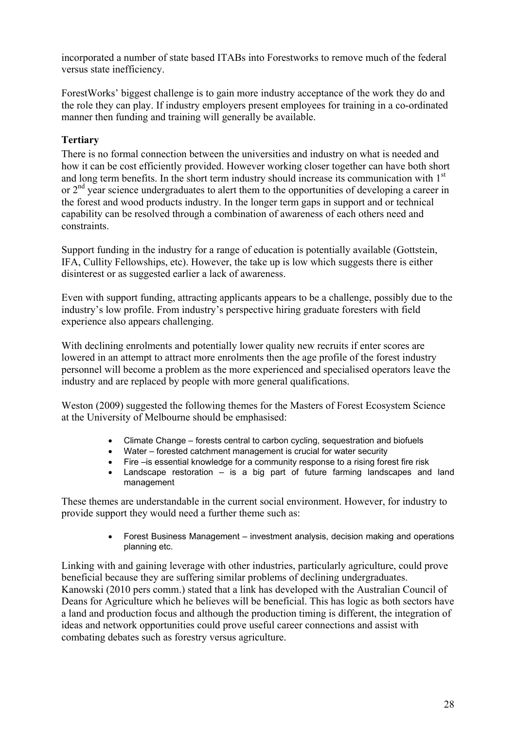incorporated a number of state based ITABs into Forestworks to remove much of the federal versus state inefficiency.

ForestWorks' biggest challenge is to gain more industry acceptance of the work they do and the role they can play. If industry employers present employees for training in a co-ordinated manner then funding and training will generally be available.

## <span id="page-34-0"></span>**Tertiary**

There is no formal connection between the universities and industry on what is needed and how it can be cost efficiently provided. However working closer together can have both short and long term benefits. In the short term industry should increase its communication with  $1<sup>st</sup>$ or 2<sup>nd</sup> year science undergraduates to alert them to the opportunities of developing a career in the forest and wood products industry. In the longer term gaps in support and or technical capability can be resolved through a combination of awareness of each others need and constraints.

Support funding in the industry for a range of education is potentially available (Gottstein, IFA, Cullity Fellowships, etc). However, the take up is low which suggests there is either disinterest or as suggested earlier a lack of awareness.

Even with support funding, attracting applicants appears to be a challenge, possibly due to the industry's low profile. From industry's perspective hiring graduate foresters with field experience also appears challenging.

With declining enrolments and potentially lower quality new recruits if enter scores are lowered in an attempt to attract more enrolments then the age profile of the forest industry personnel will become a problem as the more experienced and specialised operators leave the industry and are replaced by people with more general qualifications.

Weston (2009) suggested the following themes for the Masters of Forest Ecosystem Science at the University of Melbourne should be emphasised:

- Climate Change forests central to carbon cycling, sequestration and biofuels
- Water forested catchment management is crucial for water security
- Fire –is essential knowledge for a community response to a rising forest fire risk
- Landscape restoration is a big part of future farming landscapes and land management

These themes are understandable in the current social environment. However, for industry to provide support they would need a further theme such as:

> Forest Business Management – investment analysis, decision making and operations planning etc.

Linking with and gaining leverage with other industries, particularly agriculture, could prove beneficial because they are suffering similar problems of declining undergraduates. Kanowski (2010 pers comm.) stated that a link has developed with the Australian Council of Deans for Agriculture which he believes will be beneficial. This has logic as both sectors have a land and production focus and although the production timing is different, the integration of ideas and network opportunities could prove useful career connections and assist with combating debates such as forestry versus agriculture.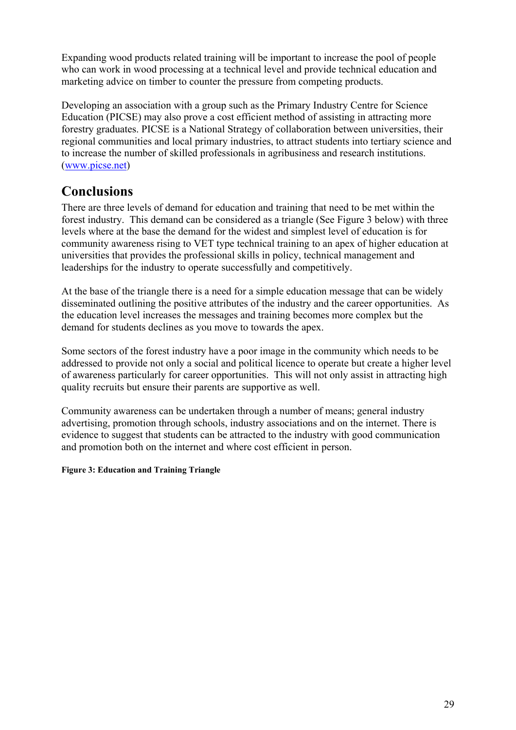Expanding wood products related training will be important to increase the pool of people who can work in wood processing at a technical level and provide technical education and marketing advice on timber to counter the pressure from competing products.

Developing an association with a group such as the Primary Industry Centre for Science Education (PICSE) may also prove a cost efficient method of assisting in attracting more forestry graduates. PICSE is a National Strategy of collaboration between universities, their regional communities and local primary industries, to attract students into tertiary science and to increase the number of skilled professionals in agribusiness and research institutions. ([www.picse.net](http://www.picse.net/))

# <span id="page-35-0"></span>**Conclusions**

There are three levels of demand for education and training that need to be met within the forest industry. This demand can be considered as a triangle (See Figure 3 below) with three levels where at the base the demand for the widest and simplest level of education is for community awareness rising to VET type technical training to an apex of higher education at universities that provides the professional skills in policy, technical management and leaderships for the industry to operate successfully and competitively.

At the base of the triangle there is a need for a simple education message that can be widely disseminated outlining the positive attributes of the industry and the career opportunities. As the education level increases the messages and training becomes more complex but the demand for students declines as you move to towards the apex.

Some sectors of the forest industry have a poor image in the community which needs to be addressed to provide not only a social and political licence to operate but create a higher level of awareness particularly for career opportunities. This will not only assist in attracting high quality recruits but ensure their parents are supportive as well.

Community awareness can be undertaken through a number of means; general industry advertising, promotion through schools, industry associations and on the internet. There is evidence to suggest that students can be attracted to the industry with good communication and promotion both on the internet and where cost efficient in person.

**Figure 3: Education and Training Triangle**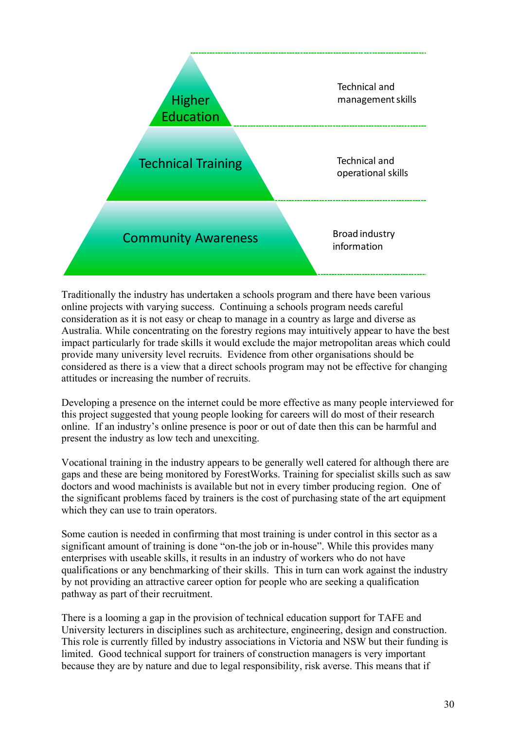

Traditionally the industry has undertaken a schools program and there have been various online projects with varying success. Continuing a schools program needs careful consideration as it is not easy or cheap to manage in a country as large and diverse as Australia. While concentrating on the forestry regions may intuitively appear to have the best impact particularly for trade skills it would exclude the major metropolitan areas which could provide many university level recruits. Evidence from other organisations should be considered as there is a view that a direct schools program may not be effective for changing attitudes or increasing the number of recruits.

Developing a presence on the internet could be more effective as many people interviewed for this project suggested that young people looking for careers will do most of their research online. If an industry's online presence is poor or out of date then this can be harmful and present the industry as low tech and unexciting.

Vocational training in the industry appears to be generally well catered for although there are gaps and these are being monitored by ForestWorks. Training for specialist skills such as saw doctors and wood machinists is available but not in every timber producing region. One of the significant problems faced by trainers is the cost of purchasing state of the art equipment which they can use to train operators.

Some caution is needed in confirming that most training is under control in this sector as a significant amount of training is done "on-the job or in-house". While this provides many enterprises with useable skills, it results in an industry of workers who do not have qualifications or any benchmarking of their skills. This in turn can work against the industry by not providing an attractive career option for people who are seeking a qualification pathway as part of their recruitment.

There is a looming a gap in the provision of technical education support for TAFE and University lecturers in disciplines such as architecture, engineering, design and construction. This role is currently filled by industry associations in Victoria and NSW but their funding is limited. Good technical support for trainers of construction managers is very important because they are by nature and due to legal responsibility, risk averse. This means that if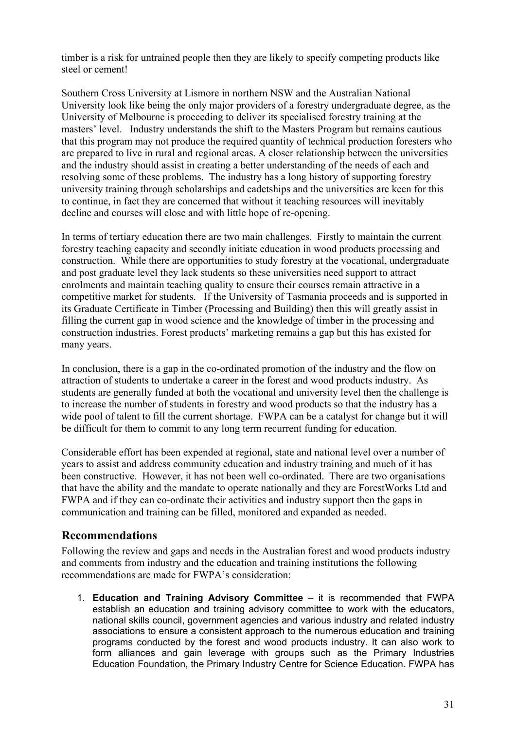timber is a risk for untrained people then they are likely to specify competing products like steel or cement!

Southern Cross University at Lismore in northern NSW and the Australian National University look like being the only major providers of a forestry undergraduate degree, as the University of Melbourne is proceeding to deliver its specialised forestry training at the masters' level. Industry understands the shift to the Masters Program but remains cautious that this program may not produce the required quantity of technical production foresters who are prepared to live in rural and regional areas. A closer relationship between the universities and the industry should assist in creating a better understanding of the needs of each and resolving some of these problems. The industry has a long history of supporting forestry university training through scholarships and cadetships and the universities are keen for this to continue, in fact they are concerned that without it teaching resources will inevitably decline and courses will close and with little hope of re-opening.

In terms of tertiary education there are two main challenges. Firstly to maintain the current forestry teaching capacity and secondly initiate education in wood products processing and construction. While there are opportunities to study forestry at the vocational, undergraduate and post graduate level they lack students so these universities need support to attract enrolments and maintain teaching quality to ensure their courses remain attractive in a competitive market for students. If the University of Tasmania proceeds and is supported in its Graduate Certificate in Timber (Processing and Building) then this will greatly assist in filling the current gap in wood science and the knowledge of timber in the processing and construction industries. Forest products' marketing remains a gap but this has existed for many years.

In conclusion, there is a gap in the co-ordinated promotion of the industry and the flow on attraction of students to undertake a career in the forest and wood products industry. As students are generally funded at both the vocational and university level then the challenge is to increase the number of students in forestry and wood products so that the industry has a wide pool of talent to fill the current shortage. FWPA can be a catalyst for change but it will be difficult for them to commit to any long term recurrent funding for education.

Considerable effort has been expended at regional, state and national level over a number of years to assist and address community education and industry training and much of it has been constructive. However, it has not been well co-ordinated. There are two organisations that have the ability and the mandate to operate nationally and they are ForestWorks Ltd and FWPA and if they can co-ordinate their activities and industry support then the gaps in communication and training can be filled, monitored and expanded as needed.

#### <span id="page-37-0"></span>**Recommendations**

Following the review and gaps and needs in the Australian forest and wood products industry and comments from industry and the education and training institutions the following recommendations are made for FWPA's consideration:

1. **Education and Training Advisory Committee** – it is recommended that FWPA establish an education and training advisory committee to work with the educators, national skills council, government agencies and various industry and related industry associations to ensure a consistent approach to the numerous education and training programs conducted by the forest and wood products industry. It can also work to form alliances and gain leverage with groups such as the Primary Industries Education Foundation, the Primary Industry Centre for Science Education. FWPA has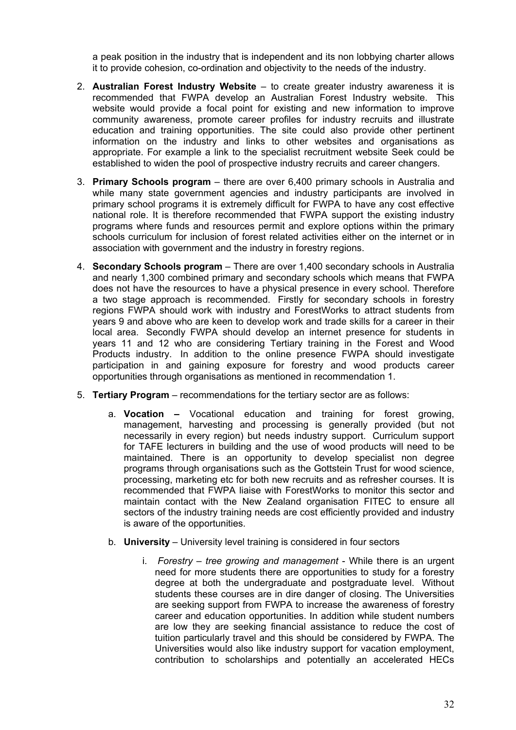a peak position in the industry that is independent and its non lobbying charter allows it to provide cohesion, co-ordination and objectivity to the needs of the industry.

- 2. **Australian Forest Industry Website** to create greater industry awareness it is recommended that FWPA develop an Australian Forest Industry website. This website would provide a focal point for existing and new information to improve community awareness, promote career profiles for industry recruits and illustrate education and training opportunities. The site could also provide other pertinent information on the industry and links to other websites and organisations as appropriate. For example a link to the specialist recruitment website Seek could be established to widen the pool of prospective industry recruits and career changers.
- 3. **Primary Schools program** there are over 6,400 primary schools in Australia and while many state government agencies and industry participants are involved in primary school programs it is extremely difficult for FWPA to have any cost effective national role. It is therefore recommended that FWPA support the existing industry programs where funds and resources permit and explore options within the primary schools curriculum for inclusion of forest related activities either on the internet or in association with government and the industry in forestry regions.
- 4. **Secondary Schools program**  There are over 1,400 secondary schools in Australia and nearly 1,300 combined primary and secondary schools which means that FWPA does not have the resources to have a physical presence in every school. Therefore a two stage approach is recommended. Firstly for secondary schools in forestry regions FWPA should work with industry and ForestWorks to attract students from years 9 and above who are keen to develop work and trade skills for a career in their local area. Secondly FWPA should develop an internet presence for students in years 11 and 12 who are considering Tertiary training in the Forest and Wood Products industry. In addition to the online presence FWPA should investigate participation in and gaining exposure for forestry and wood products career opportunities through organisations as mentioned in recommendation 1.
- 5. **Tertiary Program** recommendations for the tertiary sector are as follows:
	- a. **Vocation –** Vocational education and training for forest growing, management, harvesting and processing is generally provided (but not necessarily in every region) but needs industry support. Curriculum support for TAFE lecturers in building and the use of wood products will need to be maintained. There is an opportunity to develop specialist non degree programs through organisations such as the Gottstein Trust for wood science, processing, marketing etc for both new recruits and as refresher courses. It is recommended that FWPA liaise with ForestWorks to monitor this sector and maintain contact with the New Zealand organisation FITEC to ensure all sectors of the industry training needs are cost efficiently provided and industry is aware of the opportunities.
	- b. **University** University level training is considered in four sectors
		- i. *Forestry tree growing and management* While there is an urgent need for more students there are opportunities to study for a forestry degree at both the undergraduate and postgraduate level. Without students these courses are in dire danger of closing. The Universities are seeking support from FWPA to increase the awareness of forestry career and education opportunities. In addition while student numbers are low they are seeking financial assistance to reduce the cost of tuition particularly travel and this should be considered by FWPA. The Universities would also like industry support for vacation employment, contribution to scholarships and potentially an accelerated HECs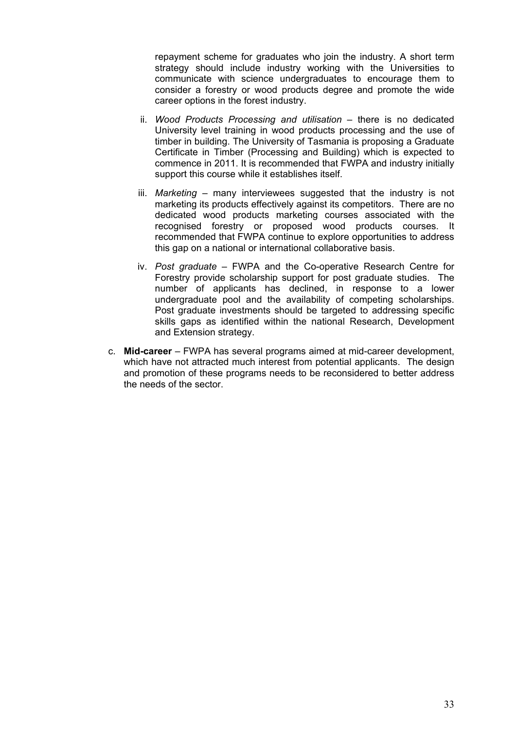repayment scheme for graduates who join the industry. A short term strategy should include industry working with the Universities to communicate with science undergraduates to encourage them to consider a forestry or wood products degree and promote the wide career options in the forest industry.

- ii. *Wood Products Processing and utilisation* there is no dedicated University level training in wood products processing and the use of timber in building. The University of Tasmania is proposing a Graduate Certificate in Timber (Processing and Building) which is expected to commence in 2011. It is recommended that FWPA and industry initially support this course while it establishes itself.
- iii. *Marketing* many interviewees suggested that the industry is not marketing its products effectively against its competitors. There are no dedicated wood products marketing courses associated with the recognised forestry or proposed wood products courses. It recommended that FWPA continue to explore opportunities to address this gap on a national or international collaborative basis.
- iv. *Post graduate* FWPA and the Co-operative Research Centre for Forestry provide scholarship support for post graduate studies. The number of applicants has declined, in response to a lower undergraduate pool and the availability of competing scholarships. Post graduate investments should be targeted to addressing specific skills gaps as identified within the national Research, Development and Extension strategy.
- c. **Mid-career** FWPA has several programs aimed at mid-career development, which have not attracted much interest from potential applicants. The design and promotion of these programs needs to be reconsidered to better address the needs of the sector.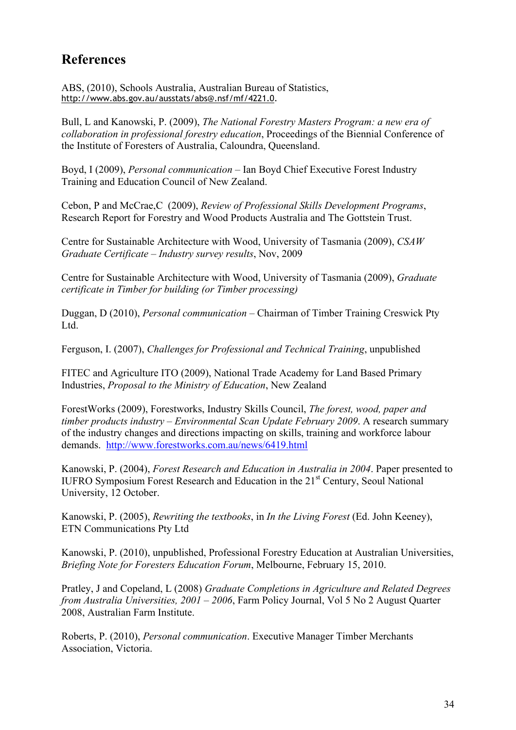## <span id="page-40-0"></span>**References**

ABS, (2010), Schools Australia, Australian Bureau of Statistics, [http://www.abs.gov.au/ausstats/abs@.nsf/mf/4221.0.](http://www.abs.gov.au/ausstats/abs@.nsf/mf/4221.0)

Bull, L and Kanowski, P. (2009), *The National Forestry Masters Program: a new era of collaboration in professional forestry education*, Proceedings of the Biennial Conference of the Institute of Foresters of Australia, Caloundra, Queensland.

Boyd, I (2009), *Personal communication* – Ian Boyd Chief Executive Forest Industry Training and Education Council of New Zealand.

Cebon, P and McCrae,C (2009), *Review of Professional Skills Development Programs*, Research Report for Forestry and Wood Products Australia and The Gottstein Trust.

Centre for Sustainable Architecture with Wood, University of Tasmania (2009), *CSAW Graduate Certificate – Industry survey results*, Nov, 2009

Centre for Sustainable Architecture with Wood, University of Tasmania (2009), *Graduate certificate in Timber for building (or Timber processing)*

Duggan, D (2010), *Personal communication* – Chairman of Timber Training Creswick Pty Ltd.

Ferguson, I. (2007), *Challenges for Professional and Technical Training*, unpublished

FITEC and Agriculture ITO (2009), National Trade Academy for Land Based Primary Industries, *Proposal to the Ministry of Education*, New Zealand

ForestWorks (2009), Forestworks, Industry Skills Council, *The forest, wood, paper and timber products industry – Environmental Scan Update February 2009*. A research summary of the industry changes and directions impacting on skills, training and workforce labour demands. <http://www.forestworks.com.au/news/6419.html>

Kanowski, P. (2004), *Forest Research and Education in Australia in 2004*. Paper presented to IUFRO Symposium Forest Research and Education in the 21st Century, Seoul National University, 12 October.

Kanowski, P. (2005), *Rewriting the textbooks*, in *In the Living Forest* (Ed. John Keeney), ETN Communications Pty Ltd

Kanowski, P. (2010), unpublished, Professional Forestry Education at Australian Universities, *Briefing Note for Foresters Education Forum*, Melbourne, February 15, 2010.

Pratley, J and Copeland, L (2008) *Graduate Completions in Agriculture and Related Degrees from Australia Universities, 2001 – 2006*, Farm Policy Journal, Vol 5 No 2 August Quarter 2008, Australian Farm Institute.

Roberts, P. (2010), *Personal communication*. Executive Manager Timber Merchants Association, Victoria.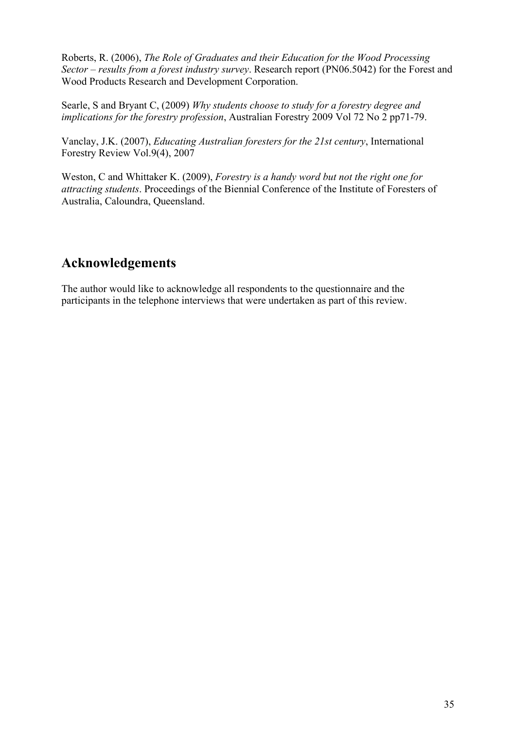Roberts, R. (2006), *The Role of Graduates and their Education for the Wood Processing Sector – results from a forest industry survey*. Research report (PN06.5042) for the Forest and Wood Products Research and Development Corporation.

Searle, S and Bryant C, (2009) *Why students choose to study for a forestry degree and implications for the forestry profession*, Australian Forestry 2009 Vol 72 No 2 pp71-79.

Vanclay, J.K. (2007), *Educating Australian foresters for the 21st century*, International Forestry Review Vol.9(4), 2007

Weston, C and Whittaker K. (2009), *Forestry is a handy word but not the right one for attracting students*. Proceedings of the Biennial Conference of the Institute of Foresters of Australia, Caloundra, Queensland.

## <span id="page-41-0"></span>**Acknowledgements**

The author would like to acknowledge all respondents to the questionnaire and the participants in the telephone interviews that were undertaken as part of this review.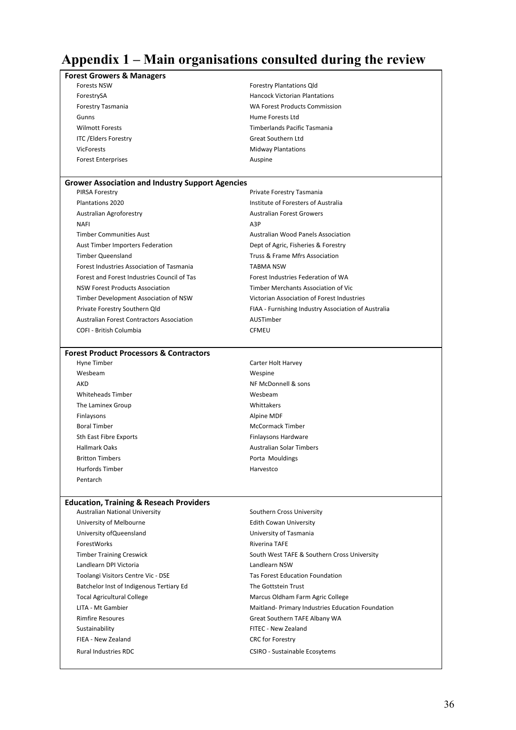# <span id="page-42-0"></span>**Appendix 1 – Main organisations consulted during the review**

| <b>Forest Growers &amp; Managers</b>                    |                                                     |
|---------------------------------------------------------|-----------------------------------------------------|
| <b>Forests NSW</b>                                      | <b>Forestry Plantations Qld</b>                     |
| ForestrySA                                              | <b>Hancock Victorian Plantations</b>                |
| Forestry Tasmania                                       | <b>WA Forest Products Commission</b>                |
| Gunns                                                   | Hume Forests Ltd                                    |
| <b>Wilmott Forests</b>                                  | Timberlands Pacific Tasmania                        |
| <b>ITC /Elders Forestry</b>                             | Great Southern Ltd                                  |
| <b>VicForests</b>                                       | <b>Midway Plantations</b>                           |
| <b>Forest Enterprises</b>                               | Auspine                                             |
|                                                         |                                                     |
| <b>Grower Association and Industry Support Agencies</b> |                                                     |
| PIRSA Forestry                                          | Private Forestry Tasmania                           |
| <b>Plantations 2020</b>                                 | Institute of Foresters of Australia                 |
| Australian Agroforestry                                 | <b>Australian Forest Growers</b>                    |
| <b>NAFI</b>                                             | A3P                                                 |
| <b>Timber Communities Aust</b>                          | Australian Wood Panels Association                  |
| Aust Timber Importers Federation                        | Dept of Agric, Fisheries & Forestry                 |
| <b>Timber Queensland</b>                                | Truss & Frame Mfrs Association                      |
| Forest Industries Association of Tasmania               | <b>TABMA NSW</b>                                    |
| Forest and Forest Industries Council of Tas             | Forest Industries Federation of WA                  |
| <b>NSW Forest Products Association</b>                  | Timber Merchants Association of Vic                 |
| Timber Development Association of NSW                   | Victorian Association of Forest Industries          |
| Private Forestry Southern Qld                           | FIAA - Furnishing Industry Association of Australia |
| <b>Australian Forest Contractors Association</b>        | AUSTimber                                           |
| COFI - British Columbia                                 | <b>CFMEU</b>                                        |
|                                                         |                                                     |
| <b>Forest Product Processors &amp; Contractors</b>      |                                                     |
| Hyne Timber                                             | Carter Holt Harvey                                  |
| Wesbeam                                                 | Wespine                                             |
| AKD                                                     | NF McDonnell & sons                                 |
| <b>Whiteheads Timber</b>                                | Wesbeam                                             |
| The Laminex Group                                       | Whittakers                                          |
| Finlaysons                                              | Alpine MDF                                          |
| <b>Boral Timber</b>                                     | McCormack Timber                                    |
| Sth East Fibre Exports                                  | Finlaysons Hardware                                 |
| <b>Hallmark Oaks</b>                                    | <b>Australian Solar Timbers</b>                     |
| <b>Britton Timbers</b>                                  | Porta Mouldings                                     |
| Hurfords Timber                                         | Harvestco                                           |
| Pentarch                                                |                                                     |
|                                                         |                                                     |
| <b>Education, Training &amp; Reseach Providers</b>      |                                                     |
| <b>Australian National University</b>                   | Southern Cross University                           |
| University of Melbourne                                 | <b>Edith Cowan University</b>                       |
| University of Queensland                                | University of Tasmania                              |
| ForestWorks                                             | <b>Riverina TAFE</b>                                |
| <b>Timber Training Creswick</b>                         | South West TAFE & Southern Cross University         |
| Landlearn DPI Victoria                                  | Landlearn NSW                                       |
| Toolangi Visitors Centre Vic - DSE                      | <b>Tas Forest Education Foundation</b>              |
| Batchelor Inst of Indigenous Tertiary Ed                | The Gottstein Trust                                 |
| <b>Tocal Agricultural College</b>                       | Marcus Oldham Farm Agric College                    |
| LITA - Mt Gambier                                       | Maitland- Primary Industries Education Foundation   |
| <b>Rimfire Resoures</b>                                 | Great Southern TAFE Albany WA                       |
| Sustainability                                          | FITEC - New Zealand                                 |
| FIEA - New Zealand                                      | <b>CRC</b> for Forestry                             |
| <b>Rural Industries RDC</b>                             | CSIRO - Sustainable Ecosytems                       |
|                                                         |                                                     |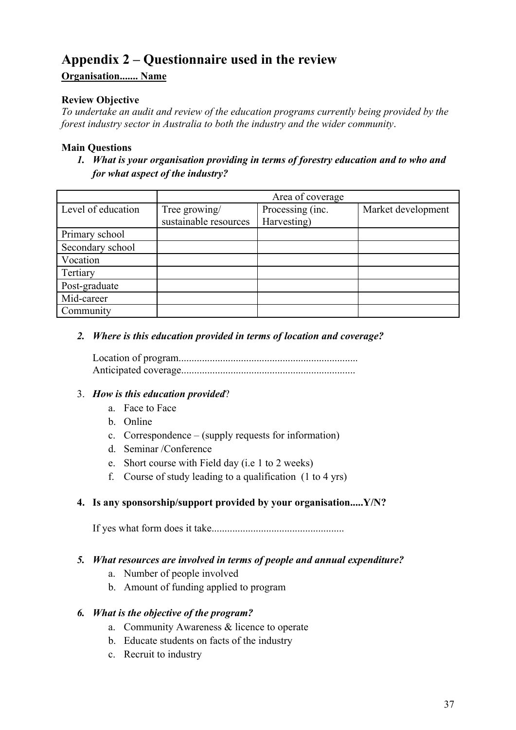# <span id="page-43-0"></span>**Appendix 2 – Questionnaire used in the review**

## **Organisation....... Name**

## **Review Objective**

*To undertake an audit and review of the education programs currently being provided by the forest industry sector in Australia to both the industry and the wider community*.

#### **Main Questions**

*1. What is your organisation providing in terms of forestry education and to who and for what aspect of the industry?* 

|                    | Area of coverage      |                  |                    |
|--------------------|-----------------------|------------------|--------------------|
| Level of education | Tree growing/         | Processing (inc. | Market development |
|                    | sustainable resources | Harvesting)      |                    |
| Primary school     |                       |                  |                    |
| Secondary school   |                       |                  |                    |
| Vocation           |                       |                  |                    |
| Tertiary           |                       |                  |                    |
| Post-graduate      |                       |                  |                    |
| Mid-career         |                       |                  |                    |
| Community          |                       |                  |                    |

*2. Where is this education provided in terms of location and coverage?* 

Location of program..................................................................... Anticipated coverage...................................................................

#### 3. *How is this education provided*?

- a. Face to Face
- b. Online
- c. Correspondence (supply requests for information)
- d. Seminar /Conference
- e. Short course with Field day (i.e 1 to 2 weeks)
- f. Course of study leading to a qualification (1 to 4 yrs)

#### **4. Is any sponsorship/support provided by your organisation.....Y/N?**

If yes what form does it take...................................................

#### *5. What resources are involved in terms of people and annual expenditure?*

- a. Number of people involved
- b. Amount of funding applied to program

#### *6. What is the objective of the program?*

- a. Community Awareness & licence to operate
- b. Educate students on facts of the industry
- c. Recruit to industry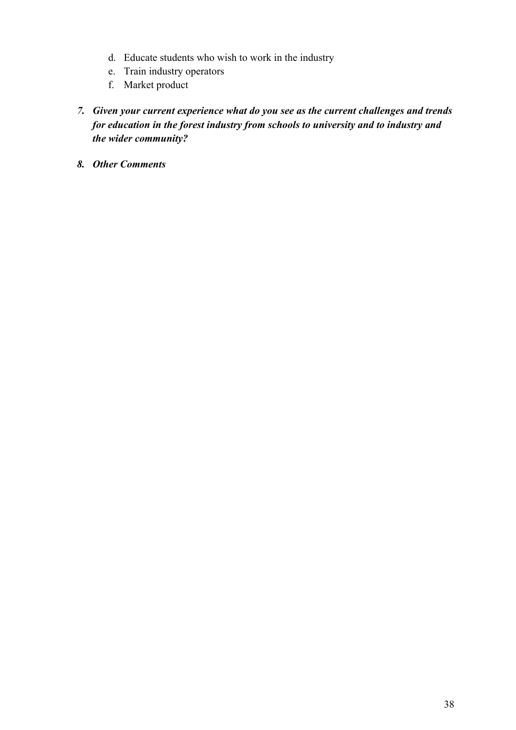- d. Educate students who wish to work in the industry
- e. Train industry operators
- f. Market product
- *7. Given your current experience what do you see as the current challenges and trends for education in the forest industry from schools to university and to industry and the wider community?*
- *8. Other Comments*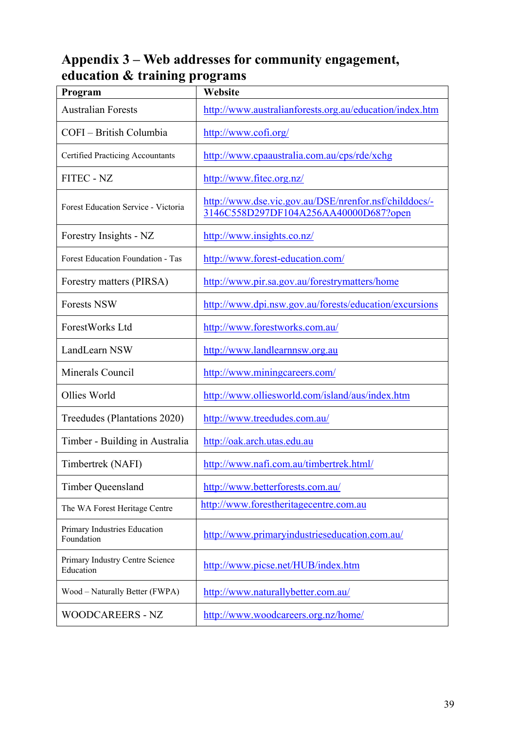# <span id="page-45-0"></span>**Appendix 3 – Web addresses for community engagement, education & training programs**

| Program                                      | Website                                                                                        |
|----------------------------------------------|------------------------------------------------------------------------------------------------|
| <b>Australian Forests</b>                    | http://www.australianforests.org.au/education/index.htm                                        |
| COFI - British Columbia                      | http://www.cofi.org/                                                                           |
| <b>Certified Practicing Accountants</b>      | http://www.cpaaustralia.com.au/cps/rde/xchg                                                    |
| FITEC - NZ                                   | http://www.fitec.org.nz/                                                                       |
| Forest Education Service - Victoria          | http://www.dse.vic.gov.au/DSE/nrenfor.nsf/childdocs/-<br>3146C558D297DF104A256AA40000D687?open |
| Forestry Insights - NZ                       | http://www.insights.co.nz/                                                                     |
| Forest Education Foundation - Tas            | http://www.forest-education.com/                                                               |
| Forestry matters (PIRSA)                     | http://www.pir.sa.gov.au/forestrymatters/home                                                  |
| <b>Forests NSW</b>                           | http://www.dpi.nsw.gov.au/forests/education/excursions                                         |
| ForestWorks Ltd                              | http://www.forestworks.com.au/                                                                 |
| LandLearn NSW                                | http://www.landlearnnsw.org.au                                                                 |
| Minerals Council                             | http://www.miningcareers.com/                                                                  |
| Ollies World                                 | http://www.olliesworld.com/island/aus/index.htm                                                |
| Treedudes (Plantations 2020)                 | http://www.treedudes.com.au/                                                                   |
| Timber - Building in Australia               | http://oak.arch.utas.edu.au                                                                    |
| Timbertrek (NAFI)                            | http://www.nafi.com.au/timbertrek.html/                                                        |
| <b>Timber Queensland</b>                     | http://www.betterforests.com.au/                                                               |
| The WA Forest Heritage Centre                | http://www.forestheritagecentre.com.au                                                         |
| Primary Industries Education<br>Foundation   | http://www.primaryindustrieseducation.com.au/                                                  |
| Primary Industry Centre Science<br>Education | http://www.picse.net/HUB/index.htm                                                             |
| Wood – Naturally Better (FWPA)               | http://www.naturallybetter.com.au/                                                             |
| WOODCAREERS - NZ                             | http://www.woodcareers.org.nz/home/                                                            |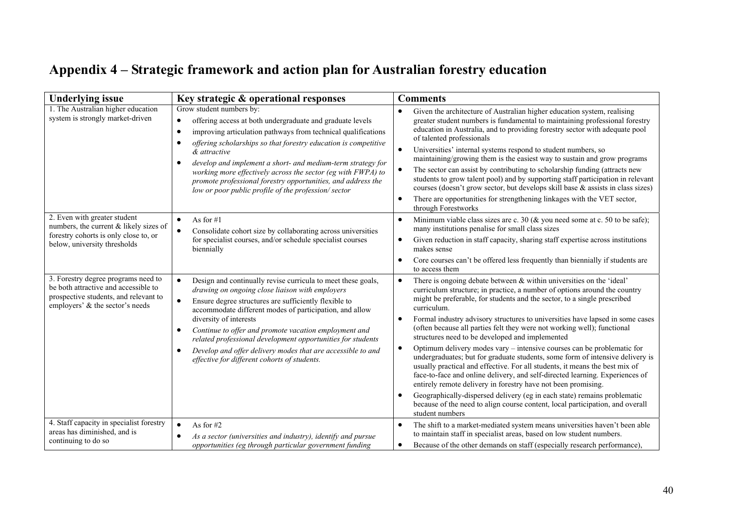# **Appendix 4 – Strategic framework and action plan for Australian forestry education**

<span id="page-46-0"></span>

| <b>Underlying issue</b>                                                                                                                                 | Key strategic & operational responses                                                                                                                                                                                                                                                                                                                                                                                                                                                                                                                    | <b>Comments</b>                                                                                                                                                                                                                                                                                                                                                                                                                                                                                                                                                                                                                                                                                                                                                                                                                                                                                                                                                                                                                                        |  |  |
|---------------------------------------------------------------------------------------------------------------------------------------------------------|----------------------------------------------------------------------------------------------------------------------------------------------------------------------------------------------------------------------------------------------------------------------------------------------------------------------------------------------------------------------------------------------------------------------------------------------------------------------------------------------------------------------------------------------------------|--------------------------------------------------------------------------------------------------------------------------------------------------------------------------------------------------------------------------------------------------------------------------------------------------------------------------------------------------------------------------------------------------------------------------------------------------------------------------------------------------------------------------------------------------------------------------------------------------------------------------------------------------------------------------------------------------------------------------------------------------------------------------------------------------------------------------------------------------------------------------------------------------------------------------------------------------------------------------------------------------------------------------------------------------------|--|--|
| 1. The Australian higher education<br>system is strongly market-driven                                                                                  | Grow student numbers by:<br>offering access at both undergraduate and graduate levels<br>$\bullet$<br>improving articulation pathways from technical qualifications<br>$\bullet$<br>offering scholarships so that forestry education is competitive<br>$\bullet$<br>& attractive<br>develop and implement a short- and medium-term strategy for<br>$\bullet$<br>working more effectively across the sector (eg with FWPA) to<br>promote professional forestry opportunities, and address the<br>low or poor public profile of the profession/sector      | Given the architecture of Australian higher education system, realising<br>greater student numbers is fundamental to maintaining professional forestry<br>education in Australia, and to providing forestry sector with adequate pool<br>of talented professionals<br>Universities' internal systems respond to student numbers, so<br>$\bullet$<br>maintaining/growing them is the easiest way to sustain and grow programs<br>The sector can assist by contributing to scholarship funding (attracts new<br>$\bullet$<br>students to grow talent pool) and by supporting staff participation in relevant<br>courses (doesn't grow sector, but develops skill base & assists in class sizes)<br>There are opportunities for strengthening linkages with the VET sector,<br>through Forestworks                                                                                                                                                                                                                                                        |  |  |
| 2. Even with greater student<br>numbers, the current & likely sizes of<br>forestry cohorts is only close to, or<br>below, university thresholds         | As for $#1$<br>$\bullet$<br>Consolidate cohort size by collaborating across universities<br>$\bullet$<br>for specialist courses, and/or schedule specialist courses<br>biennially                                                                                                                                                                                                                                                                                                                                                                        | Minimum viable class sizes are c. 30 ( $&$ you need some at c. 50 to be safe);<br>$\bullet$<br>many institutions penalise for small class sizes<br>Given reduction in staff capacity, sharing staff expertise across institutions<br>makes sense<br>Core courses can't be offered less frequently than biennially if students are<br>to access them                                                                                                                                                                                                                                                                                                                                                                                                                                                                                                                                                                                                                                                                                                    |  |  |
| 3. Forestry degree programs need to<br>be both attractive and accessible to<br>prospective students, and relevant to<br>employers' & the sector's needs | $\bullet$<br>Design and continually revise curricula to meet these goals,<br>drawing on ongoing close liaison with employers<br>Ensure degree structures are sufficiently flexible to<br>$\bullet$<br>accommodate different modes of participation, and allow<br>diversity of interests<br>Continue to offer and promote vacation employment and<br>$\bullet$<br>related professional development opportunities for students<br>Develop and offer delivery modes that are accessible to and<br>$\bullet$<br>effective for different cohorts of students. | There is ongoing debate between $\&$ within universities on the 'ideal'<br>curriculum structure; in practice, a number of options around the country<br>might be preferable, for students and the sector, to a single prescribed<br>curriculum.<br>Formal industry advisory structures to universities have lapsed in some cases<br>(often because all parties felt they were not working well); functional<br>structures need to be developed and implemented<br>Optimum delivery modes vary – intensive courses can be problematic for<br>$\bullet$<br>undergraduates; but for graduate students, some form of intensive delivery is<br>usually practical and effective. For all students, it means the best mix of<br>face-to-face and online delivery, and self-directed learning. Experiences of<br>entirely remote delivery in forestry have not been promising.<br>Geographically-dispersed delivery (eg in each state) remains problematic<br>because of the need to align course content, local participation, and overall<br>student numbers |  |  |
| 4. Staff capacity in specialist forestry<br>areas has diminished, and is<br>continuing to do so                                                         | $\bullet$<br>As for $#2$<br>As a sector (universities and industry), identify and pursue<br>$\bullet$<br>opportunities (eg through particular government funding                                                                                                                                                                                                                                                                                                                                                                                         | The shift to a market-mediated system means universities haven't been able<br>to maintain staff in specialist areas, based on low student numbers.<br>Because of the other demands on staff (especially research performance).<br>$\bullet$                                                                                                                                                                                                                                                                                                                                                                                                                                                                                                                                                                                                                                                                                                                                                                                                            |  |  |